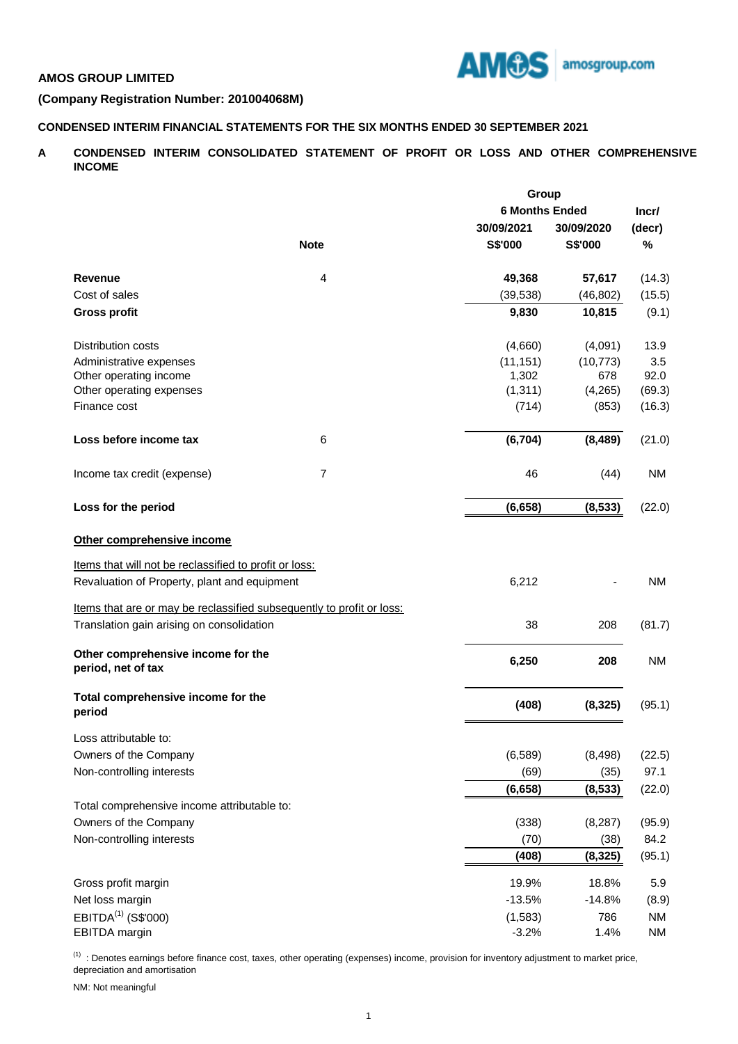

# **AMOS GROUP LIMITED**

# **(Company Registration Number: 201004068M)**

# **CONDENSED INTERIM FINANCIAL STATEMENTS FOR THE SIX MONTHS ENDED 30 SEPTEMBER 2021**

**A CONDENSED INTERIM CONSOLIDATED STATEMENT OF PROFIT OR LOSS AND OTHER COMPREHENSIVE INCOME**

|                                                                       |                | Group                 |            |           |  |
|-----------------------------------------------------------------------|----------------|-----------------------|------------|-----------|--|
|                                                                       |                | <b>6 Months Ended</b> |            | Incr/     |  |
|                                                                       |                | 30/09/2021            | 30/09/2020 | (decr)    |  |
|                                                                       | <b>Note</b>    | S\$'000               | S\$'000    | %         |  |
|                                                                       |                |                       |            |           |  |
| Revenue                                                               | 4              | 49,368                | 57,617     | (14.3)    |  |
| Cost of sales                                                         |                | (39, 538)             | (46, 802)  | (15.5)    |  |
| <b>Gross profit</b>                                                   |                | 9,830                 | 10,815     | (9.1)     |  |
| <b>Distribution costs</b>                                             |                | (4,660)               | (4,091)    | 13.9      |  |
| Administrative expenses                                               |                | (11, 151)             | (10, 773)  | 3.5       |  |
| Other operating income                                                |                | 1,302                 | 678        | 92.0      |  |
| Other operating expenses                                              |                | (1, 311)              | (4,265)    | (69.3)    |  |
| Finance cost                                                          |                | (714)                 | (853)      | (16.3)    |  |
| Loss before income tax                                                | 6              | (6, 704)              | (8, 489)   | (21.0)    |  |
| Income tax credit (expense)                                           | $\overline{7}$ | 46                    | (44)       | NM        |  |
| Loss for the period                                                   |                | (6, 658)              | (8, 533)   | (22.0)    |  |
| Other comprehensive income                                            |                |                       |            |           |  |
|                                                                       |                |                       |            |           |  |
| Items that will not be reclassified to profit or loss:                |                |                       |            |           |  |
| Revaluation of Property, plant and equipment                          |                | 6,212                 |            | NM        |  |
| Items that are or may be reclassified subsequently to profit or loss: |                |                       |            |           |  |
| Translation gain arising on consolidation                             |                | 38                    | 208        | (81.7)    |  |
| Other comprehensive income for the<br>period, net of tax              |                | 6,250                 | 208        | <b>NM</b> |  |
| Total comprehensive income for the<br>period                          |                | (408)                 | (8, 325)   | (95.1)    |  |
| Loss attributable to:                                                 |                |                       |            |           |  |
| Owners of the Company                                                 |                | (6, 589)              | (8, 498)   | (22.5)    |  |
| Non-controlling interests                                             |                | (69)                  | (35)       | 97.1      |  |
|                                                                       |                | (6,658)               | (8,533)    | (22.0)    |  |
| Total comprehensive income attributable to:                           |                |                       |            |           |  |
| Owners of the Company                                                 |                | (338)                 | (8, 287)   | (95.9)    |  |
| Non-controlling interests                                             |                | (70)                  | (38)       | 84.2      |  |
|                                                                       |                | (408)                 | (8, 325)   | (95.1)    |  |
| Gross profit margin                                                   |                | 19.9%                 | 18.8%      | 5.9       |  |
| Net loss margin                                                       |                | $-13.5%$              | $-14.8%$   | (8.9)     |  |
| EBITDA <sup>(1)</sup> (S\$'000)                                       |                | (1,583)               | 786        | <b>NM</b> |  |
| EBITDA margin                                                         |                | $-3.2%$               | 1.4%       | <b>NM</b> |  |

<sup>(1)</sup> : Denotes earnings before finance cost, taxes, other operating (expenses) income, provision for inventory adjustment to market price, depreciation and amortisation

NM: Not meaningful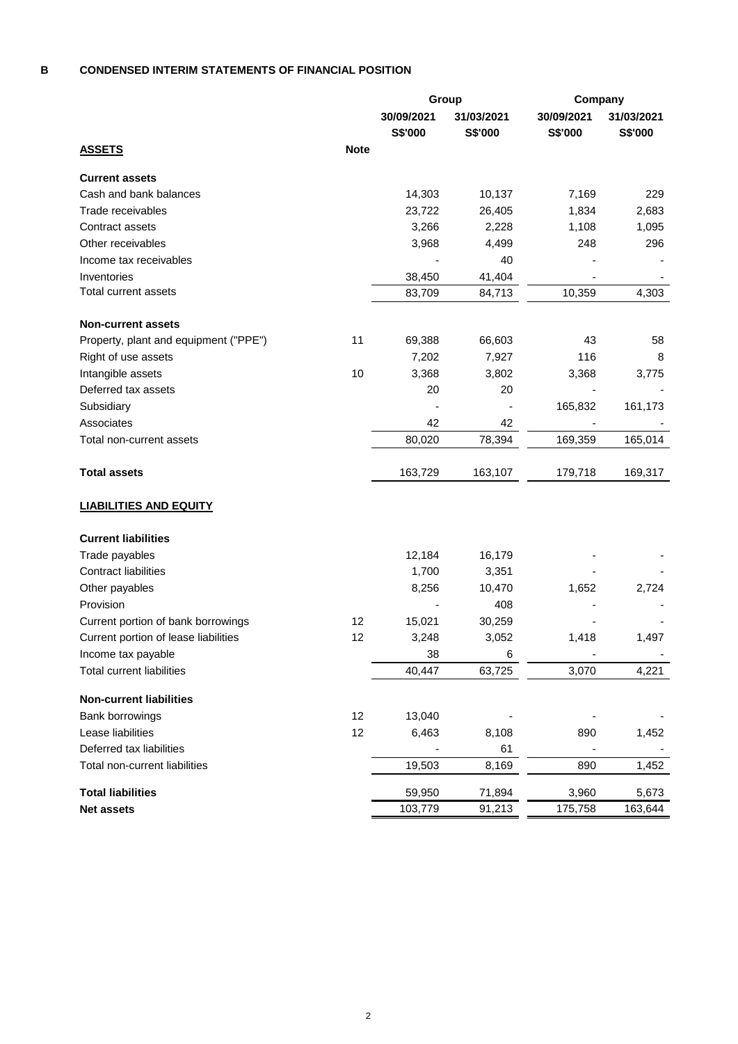#### **B CONDENSED INTERIM STATEMENTS OF FINANCIAL POSITION**

|                                       |             | Group      |            | Company    |            |
|---------------------------------------|-------------|------------|------------|------------|------------|
|                                       |             | 30/09/2021 | 31/03/2021 | 30/09/2021 | 31/03/2021 |
| <u>ASSETS</u>                         | <b>Note</b> | S\$'000    | S\$'000    | S\$'000    | S\$'000    |
| <b>Current assets</b>                 |             |            |            |            |            |
| Cash and bank balances                |             | 14,303     | 10,137     | 7,169      | 229        |
| Trade receivables                     |             | 23,722     | 26,405     | 1,834      | 2,683      |
| Contract assets                       |             | 3,266      | 2,228      | 1,108      | 1,095      |
| Other receivables                     |             | 3,968      | 4,499      | 248        | 296        |
| Income tax receivables                |             |            | 40         |            |            |
| Inventories                           |             | 38,450     | 41,404     |            |            |
| <b>Total current assets</b>           |             | 83,709     | 84,713     | 10,359     | 4,303      |
| <b>Non-current assets</b>             |             |            |            |            |            |
| Property, plant and equipment ("PPE") | 11          | 69,388     | 66,603     | 43         | 58         |
| Right of use assets                   |             | 7,202      | 7,927      | 116        | 8          |
| Intangible assets                     | 10          | 3,368      | 3,802      | 3,368      | 3,775      |
| Deferred tax assets                   |             | 20         | 20         |            |            |
| Subsidiary                            |             |            |            | 165,832    | 161,173    |
| Associates                            |             | 42         | 42         |            |            |
| Total non-current assets              |             | 80,020     | 78,394     | 169,359    | 165,014    |
| <b>Total assets</b>                   |             | 163,729    | 163,107    | 179,718    | 169,317    |
| <b>LIABILITIES AND EQUITY</b>         |             |            |            |            |            |
| <b>Current liabilities</b>            |             |            |            |            |            |
| Trade payables                        |             | 12,184     | 16,179     |            |            |
| <b>Contract liabilities</b>           |             | 1,700      | 3,351      |            |            |
| Other payables                        |             | 8,256      | 10,470     | 1,652      | 2,724      |
| Provision                             |             |            | 408        |            |            |
| Current portion of bank borrowings    | 12          | 15,021     | 30,259     |            |            |
| Current portion of lease liabilities  | 12          | 3,248      | 3,052      | 1,418      | 1,497      |
| Income tax payable                    |             | 38         | 6          |            |            |
| <b>Total current liabilities</b>      |             | 40,447     | 63,725     | 3,070      | 4,221      |
| <b>Non-current liabilities</b>        |             |            |            |            |            |
| Bank borrowings                       | 12          | 13,040     |            |            |            |
| Lease liabilities                     | 12          | 6,463      | 8,108      | 890        | 1,452      |
| Deferred tax liabilities              |             |            | 61         |            |            |
| Total non-current liabilities         |             | 19,503     | 8,169      | 890        | 1,452      |
| <b>Total liabilities</b>              |             | 59,950     | 71,894     | 3,960      | 5,673      |
| Net assets                            |             | 103,779    | 91,213     | 175,758    | 163,644    |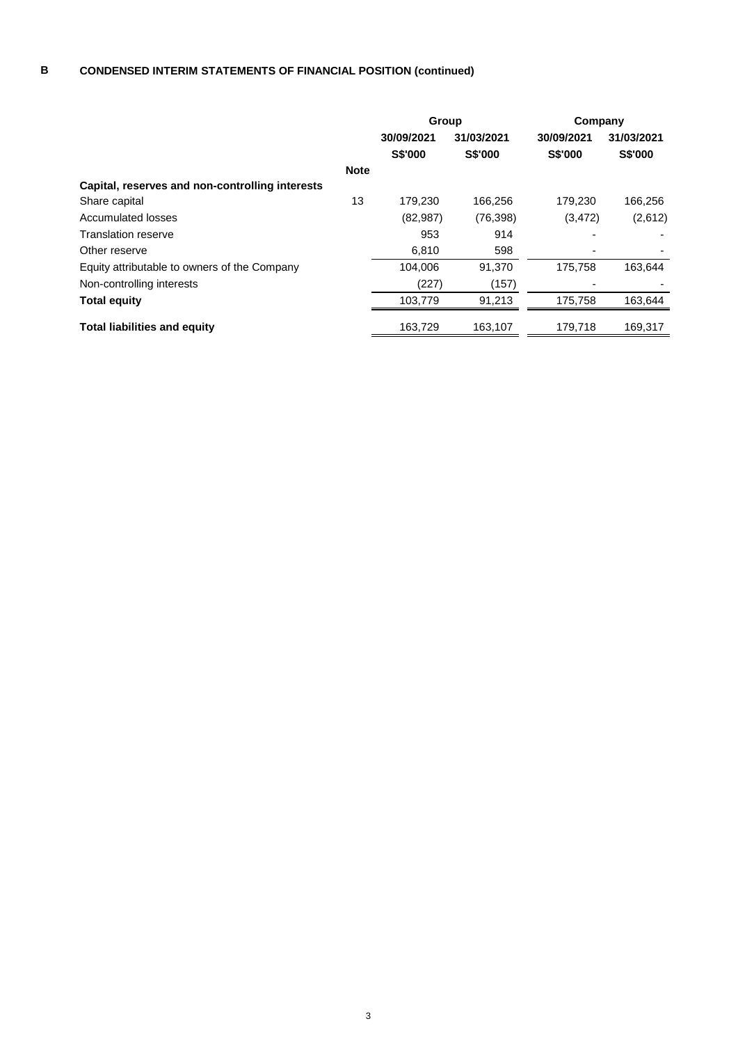### **B CONDENSED INTERIM STATEMENTS OF FINANCIAL POSITION (continued)**

|                                                 |             | Group          |                | Company        |                |
|-------------------------------------------------|-------------|----------------|----------------|----------------|----------------|
|                                                 |             | 30/09/2021     | 31/03/2021     | 30/09/2021     | 31/03/2021     |
|                                                 |             | <b>S\$'000</b> | <b>S\$'000</b> | <b>S\$'000</b> | <b>S\$'000</b> |
|                                                 | <b>Note</b> |                |                |                |                |
| Capital, reserves and non-controlling interests |             |                |                |                |                |
| Share capital                                   | 13          | 179,230        | 166,256        | 179,230        | 166,256        |
| Accumulated losses                              |             | (82, 987)      | (76, 398)      | (3, 472)       | (2,612)        |
| Translation reserve                             |             | 953            | 914            |                |                |
| Other reserve                                   |             | 6,810          | 598            |                |                |
| Equity attributable to owners of the Company    |             | 104.006        | 91,370         | 175.758        | 163,644        |
| Non-controlling interests                       |             | (227)          | (157)          |                |                |
| <b>Total equity</b>                             |             | 103.779        | 91,213         | 175.758        | 163,644        |
| <b>Total liabilities and equity</b>             |             | 163,729        | 163.107        | 179,718        | 169,317        |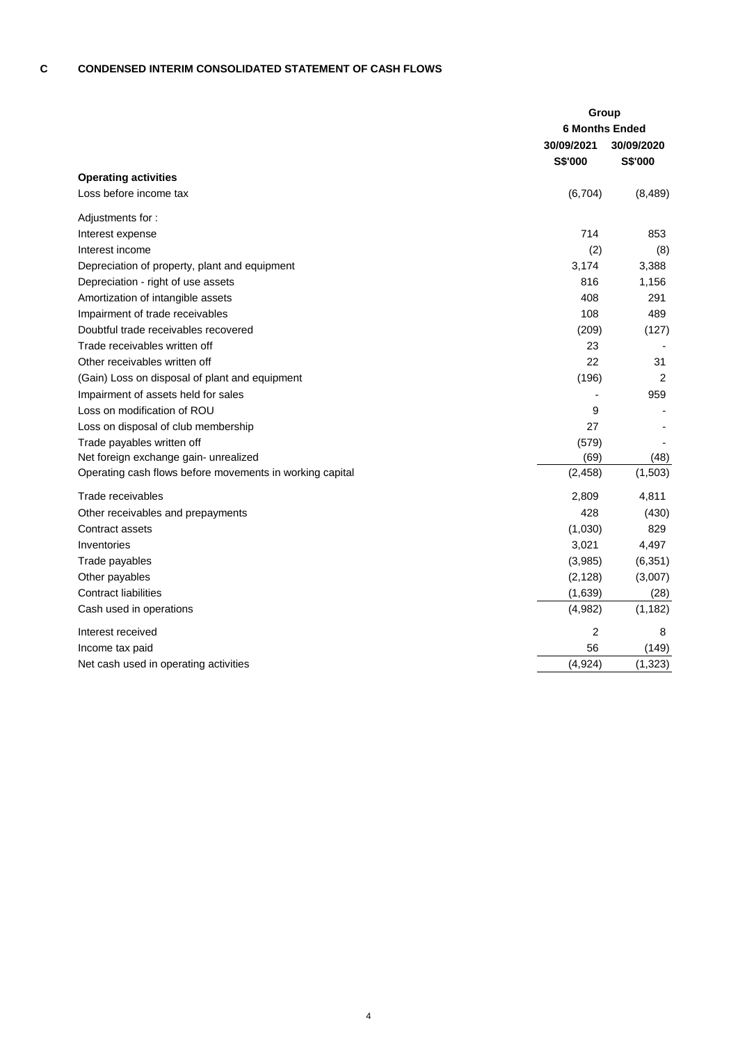#### **C CONDENSED INTERIM CONSOLIDATED STATEMENT OF CASH FLOWS**

|                                                          | Group                 |            |
|----------------------------------------------------------|-----------------------|------------|
|                                                          | <b>6 Months Ended</b> |            |
|                                                          | 30/09/2021            | 30/09/2020 |
|                                                          | S\$'000               | S\$'000    |
| <b>Operating activities</b>                              |                       |            |
| Loss before income tax                                   | (6, 704)              | (8, 489)   |
| Adjustments for:                                         |                       |            |
| Interest expense                                         | 714                   | 853        |
| Interest income                                          | (2)                   | (8)        |
| Depreciation of property, plant and equipment            | 3,174                 | 3,388      |
| Depreciation - right of use assets                       | 816                   | 1,156      |
| Amortization of intangible assets                        | 408                   | 291        |
| Impairment of trade receivables                          | 108                   | 489        |
| Doubtful trade receivables recovered                     | (209)                 | (127)      |
| Trade receivables written off                            | 23                    |            |
| Other receivables written off                            | 22                    | 31         |
| (Gain) Loss on disposal of plant and equipment           | (196)                 | 2          |
| Impairment of assets held for sales                      |                       | 959        |
| Loss on modification of ROU                              | 9                     |            |
| Loss on disposal of club membership                      | 27                    |            |
| Trade payables written off                               | (579)                 |            |
| Net foreign exchange gain- unrealized                    | (69)                  | (48)       |
| Operating cash flows before movements in working capital | (2, 458)              | (1,503)    |
| Trade receivables                                        | 2,809                 | 4,811      |
| Other receivables and prepayments                        | 428                   | (430)      |
| Contract assets                                          | (1,030)               | 829        |
| Inventories                                              | 3,021                 | 4,497      |
| Trade payables                                           | (3,985)               | (6, 351)   |
| Other payables                                           | (2, 128)              | (3,007)    |
| <b>Contract liabilities</b>                              | (1,639)               | (28)       |
| Cash used in operations                                  | (4,982)               | (1, 182)   |
| Interest received                                        | 2                     | 8          |
| Income tax paid                                          | 56                    | (149)      |
| Net cash used in operating activities                    | (4, 924)              | (1, 323)   |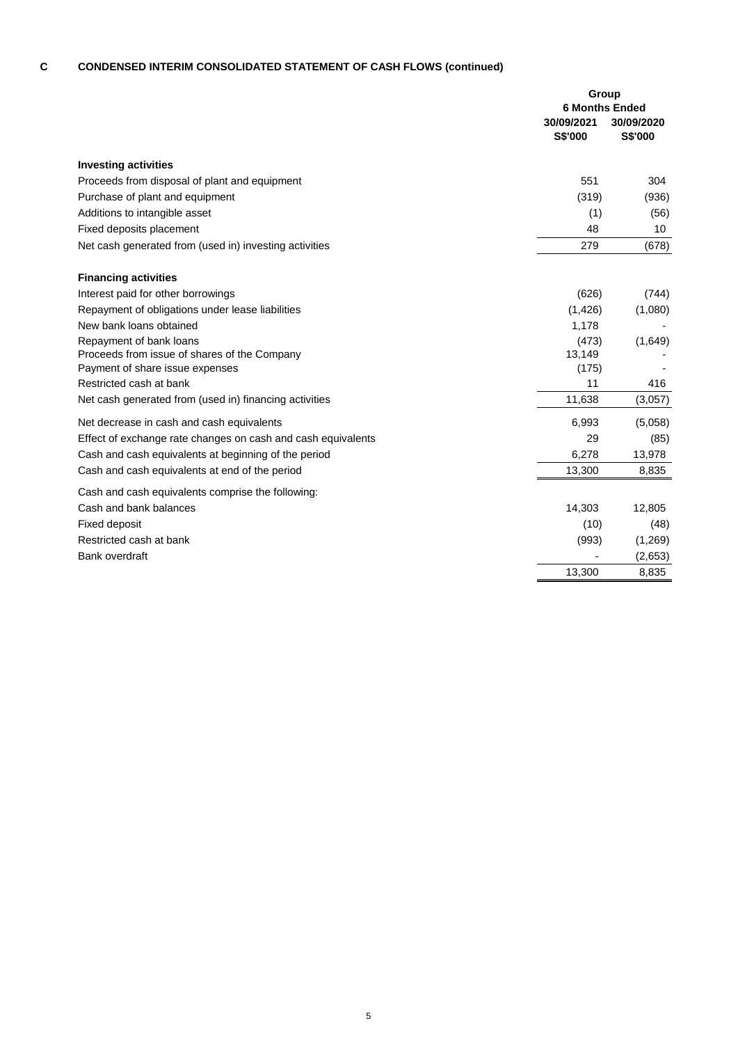# **C CONDENSED INTERIM CONSOLIDATED STATEMENT OF CASH FLOWS (continued)**

|                                                              | Group                                          |                       |
|--------------------------------------------------------------|------------------------------------------------|-----------------------|
|                                                              | <b>6 Months Ended</b><br>30/09/2021<br>S\$'000 | 30/09/2020<br>S\$'000 |
| <b>Investing activities</b>                                  |                                                |                       |
| Proceeds from disposal of plant and equipment                | 551                                            | 304                   |
| Purchase of plant and equipment                              | (319)                                          | (936)                 |
| Additions to intangible asset                                | (1)                                            | (56)                  |
| Fixed deposits placement                                     | 48                                             | 10                    |
| Net cash generated from (used in) investing activities       | 279                                            | (678)                 |
| <b>Financing activities</b>                                  |                                                |                       |
| Interest paid for other borrowings                           | (626)                                          | (744)                 |
| Repayment of obligations under lease liabilities             | (1,426)                                        | (1,080)               |
| New bank loans obtained                                      | 1,178                                          |                       |
| Repayment of bank loans                                      | (473)                                          | (1,649)               |
| Proceeds from issue of shares of the Company                 | 13,149                                         |                       |
| Payment of share issue expenses                              | (175)                                          |                       |
| Restricted cash at bank                                      | 11                                             | 416                   |
| Net cash generated from (used in) financing activities       | 11,638                                         | (3,057)               |
| Net decrease in cash and cash equivalents                    | 6,993                                          | (5,058)               |
| Effect of exchange rate changes on cash and cash equivalents | 29                                             | (85)                  |
| Cash and cash equivalents at beginning of the period         | 6,278                                          | 13,978                |
| Cash and cash equivalents at end of the period               | 13,300                                         | 8,835                 |
| Cash and cash equivalents comprise the following:            |                                                |                       |
| Cash and bank balances                                       | 14,303                                         | 12,805                |
| Fixed deposit                                                | (10)                                           | (48)                  |
| Restricted cash at bank                                      | (993)                                          | (1,269)               |
| <b>Bank overdraft</b>                                        |                                                | (2,653)               |
|                                                              | 13,300                                         | 8,835                 |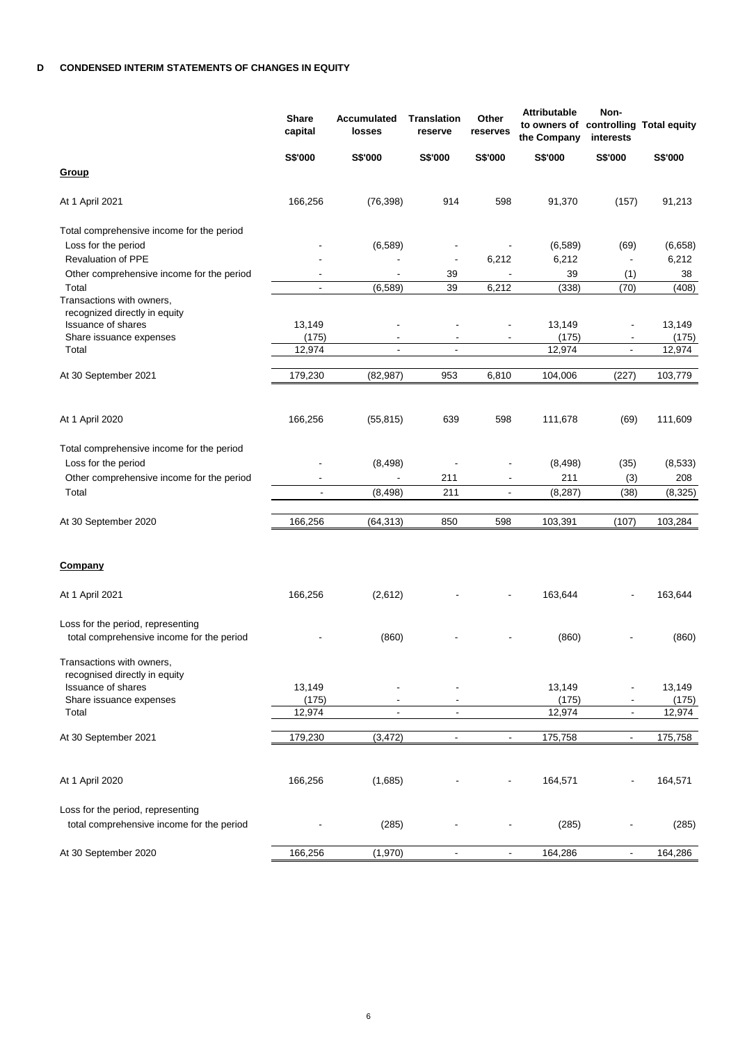|                                                                                | <b>Share</b><br>capital  | Accumulated<br>losses    | <b>Translation</b><br>reserve | Other<br>reserves        | <b>Attributable</b><br>to owners of controlling Total equity<br>the Company | Non-<br>interests        |         |
|--------------------------------------------------------------------------------|--------------------------|--------------------------|-------------------------------|--------------------------|-----------------------------------------------------------------------------|--------------------------|---------|
|                                                                                | S\$'000                  | <b>S\$'000</b>           | S\$'000                       | S\$'000                  | S\$'000                                                                     | <b>S\$'000</b>           | S\$'000 |
| <b>Group</b>                                                                   |                          |                          |                               |                          |                                                                             |                          |         |
| At 1 April 2021                                                                | 166,256                  | (76, 398)                | 914                           | 598                      | 91,370                                                                      | (157)                    | 91,213  |
| Total comprehensive income for the period                                      |                          |                          |                               |                          |                                                                             |                          |         |
| Loss for the period                                                            |                          | (6,589)                  |                               |                          | (6,589)                                                                     | (69)                     | (6,658) |
| <b>Revaluation of PPE</b>                                                      |                          |                          | $\overline{\phantom{a}}$      | 6,212                    | 6,212                                                                       | $\overline{\phantom{a}}$ | 6,212   |
| Other comprehensive income for the period                                      |                          |                          | 39                            |                          | 39                                                                          | (1)                      | 38      |
| Total                                                                          | $\blacksquare$           | (6,589)                  | 39                            | 6,212                    | (338)                                                                       | (70)                     | (408)   |
| Transactions with owners,                                                      |                          |                          |                               |                          |                                                                             |                          |         |
| recognized directly in equity<br><b>Issuance of shares</b>                     | 13,149                   |                          |                               |                          | 13,149                                                                      | $\overline{\phantom{a}}$ | 13,149  |
| Share issuance expenses                                                        | (175)                    |                          |                               |                          | (175)                                                                       |                          | (175)   |
| Total                                                                          | 12,974                   | $\overline{\phantom{a}}$ | $\overline{\phantom{a}}$      |                          | 12,974                                                                      | $\overline{\phantom{a}}$ | 12,974  |
| At 30 September 2021                                                           | 179,230                  | (82, 987)                | 953                           | 6,810                    | 104,006                                                                     | (227)                    | 103,779 |
|                                                                                |                          |                          |                               |                          |                                                                             |                          |         |
| At 1 April 2020                                                                | 166,256                  | (55, 815)                | 639                           | 598                      | 111,678                                                                     | (69)                     | 111,609 |
| Total comprehensive income for the period                                      |                          |                          |                               |                          |                                                                             |                          |         |
| Loss for the period                                                            |                          | (8, 498)                 |                               | $\overline{\phantom{0}}$ | (8, 498)                                                                    | (35)                     | (8,533) |
| Other comprehensive income for the period                                      |                          | ÷,                       | 211                           | $\blacksquare$           | 211                                                                         | (3)                      | 208     |
| Total                                                                          | $\overline{\phantom{a}}$ | (8, 498)                 | 211                           | $\overline{\phantom{a}}$ | (8, 287)                                                                    | (38)                     | (8,325) |
| At 30 September 2020                                                           | 166,256                  | (64, 313)                | 850                           | 598                      | 103,391                                                                     | (107)                    | 103,284 |
| <b>Company</b>                                                                 |                          |                          |                               |                          |                                                                             |                          |         |
| At 1 April 2021                                                                | 166,256                  | (2,612)                  |                               |                          | 163,644                                                                     |                          | 163,644 |
| Loss for the period, representing<br>total comprehensive income for the period |                          | (860)                    |                               |                          | (860)                                                                       |                          | (860)   |
| Transactions with owners,<br>recognised directly in equity                     |                          |                          |                               |                          |                                                                             |                          |         |
| <b>Issuance of shares</b>                                                      | 13,149                   |                          |                               |                          | 13,149                                                                      |                          | 13,149  |
| Share issuance expenses                                                        | (175)                    | $\overline{\phantom{a}}$ | $\overline{\phantom{a}}$      |                          | (175)                                                                       | $\overline{\phantom{a}}$ | (175)   |
| Total                                                                          | 12,974                   | $\blacksquare$           | $\blacksquare$                |                          | 12,974                                                                      | $\blacksquare$           | 12,974  |
| At 30 September 2021                                                           | 179,230                  | (3, 472)                 | $\overline{\phantom{a}}$      | $\overline{\phantom{a}}$ | 175,758                                                                     | $\overline{\phantom{a}}$ | 175,758 |
|                                                                                |                          |                          |                               |                          |                                                                             |                          |         |
| At 1 April 2020                                                                | 166,256                  | (1,685)                  |                               |                          | 164,571                                                                     | $\overline{\phantom{a}}$ | 164,571 |
| Loss for the period, representing                                              |                          |                          |                               |                          |                                                                             |                          |         |
| total comprehensive income for the period                                      |                          | (285)                    |                               |                          | (285)                                                                       |                          | (285)   |
| At 30 September 2020                                                           | 166,256                  | (1,970)                  | $\blacksquare$                | $\blacksquare$           | 164,286                                                                     | $\overline{\phantom{a}}$ | 164,286 |
|                                                                                |                          |                          |                               |                          |                                                                             |                          |         |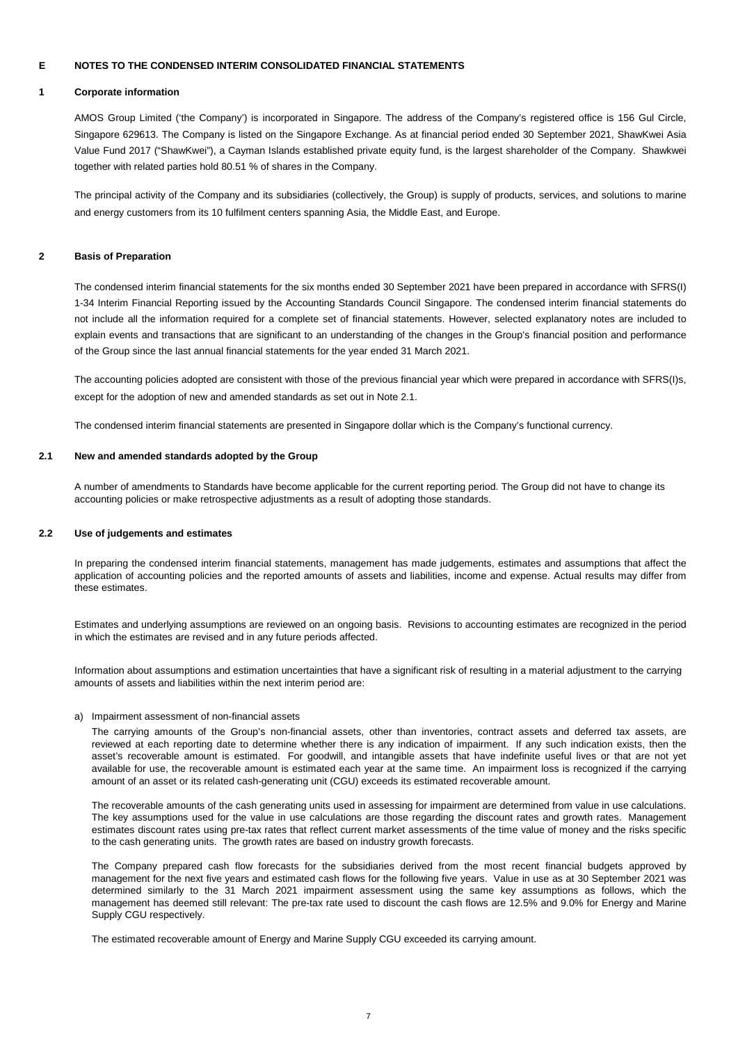### **1 Corporate information**

AMOS Group Limited ('the Company') is incorporated in Singapore. The address of the Company's registered office is 156 Gul Circle, Singapore 629613. The Company is listed on the Singapore Exchange. As at financial period ended 30 September 2021, ShawKwei Asia Value Fund 2017 ("ShawKwei"), a Cayman Islands established private equity fund, is the largest shareholder of the Company. Shawkwei together with related parties hold 80.51 % of shares in the Company.

The principal activity of the Company and its subsidiaries (collectively, the Group) is supply of products, services, and solutions to marine and energy customers from its 10 fulfilment centers spanning Asia, the Middle East, and Europe.

### **2 Basis of Preparation**

The condensed interim financial statements for the six months ended 30 September 2021 have been prepared in accordance with SFRS(I) 1-34 Interim Financial Reporting issued by the Accounting Standards Council Singapore. The condensed interim financial statements do not include all the information required for a complete set of financial statements. However, selected explanatory notes are included to explain events and transactions that are significant to an understanding of the changes in the Group's financial position and performance of the Group since the last annual financial statements for the year ended 31 March 2021.

The accounting policies adopted are consistent with those of the previous financial year which were prepared in accordance with SFRS(I)s, except for the adoption of new and amended standards as set out in Note 2.1.

The condensed interim financial statements are presented in Singapore dollar which is the Company's functional currency.

# **2.1 New and amended standards adopted by the Group**

A number of amendments to Standards have become applicable for the current reporting period. The Group did not have to change its accounting policies or make retrospective adjustments as a result of adopting those standards.

### **2.2 Use of judgements and estimates**

In preparing the condensed interim financial statements, management has made judgements, estimates and assumptions that affect the application of accounting policies and the reported amounts of assets and liabilities, income and expense. Actual results may differ from these estimates.

Estimates and underlying assumptions are reviewed on an ongoing basis. Revisions to accounting estimates are recognized in the period in which the estimates are revised and in any future periods affected.

Information about assumptions and estimation uncertainties that have a significant risk of resulting in a material adjustment to the carrying amounts of assets and liabilities within the next interim period are:

### a) Impairment assessment of non-financial assets

The carrying amounts of the Group's non-financial assets, other than inventories, contract assets and deferred tax assets, are reviewed at each reporting date to determine whether there is any indication of impairment. If any such indication exists, then the asset's recoverable amount is estimated. For goodwill, and intangible assets that have indefinite useful lives or that are not yet available for use, the recoverable amount is estimated each year at the same time. An impairment loss is recognized if the carrying amount of an asset or its related cash-generating unit (CGU) exceeds its estimated recoverable amount.

The recoverable amounts of the cash generating units used in assessing for impairment are determined from value in use calculations. The key assumptions used for the value in use calculations are those regarding the discount rates and growth rates. Management estimates discount rates using pre-tax rates that reflect current market assessments of the time value of money and the risks specific to the cash generating units. The growth rates are based on industry growth forecasts.

The Company prepared cash flow forecasts for the subsidiaries derived from the most recent financial budgets approved by management for the next five years and estimated cash flows for the following five years. Value in use as at 30 September 2021 was determined similarly to the 31 March 2021 impairment assessment using the same key assumptions as follows, which the management has deemed still relevant: The pre-tax rate used to discount the cash flows are 12.5% and 9.0% for Energy and Marine Supply CGU respectively.

The estimated recoverable amount of Energy and Marine Supply CGU exceeded its carrying amount.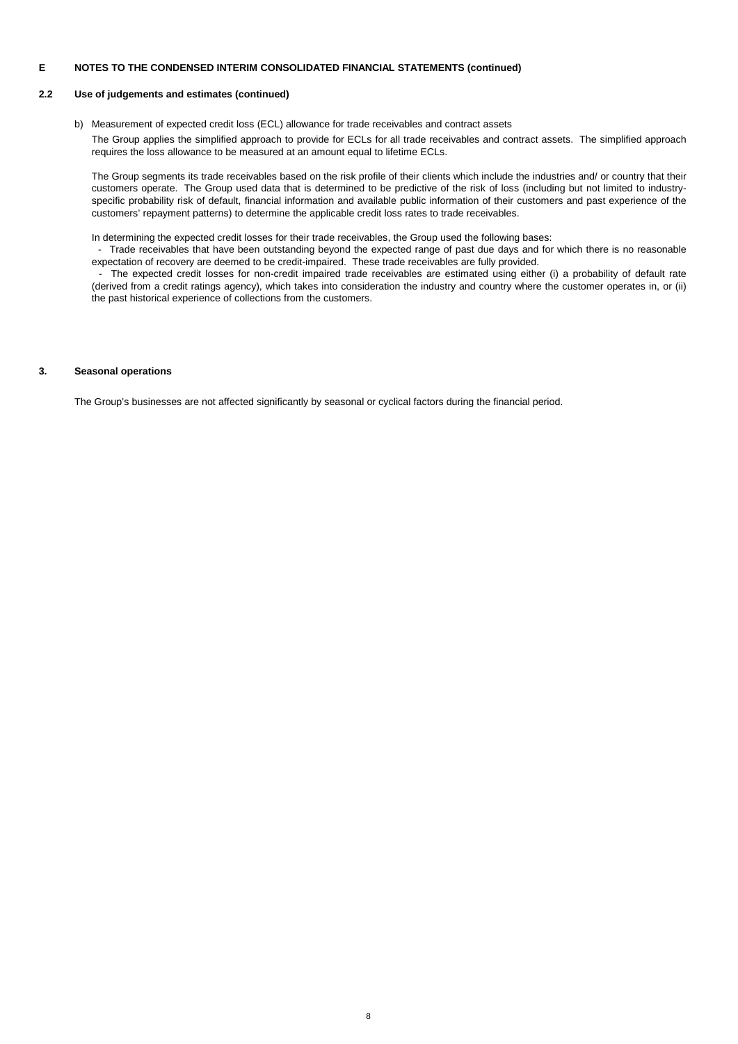# **2.2 Use of judgements and estimates (continued)**

b) Measurement of expected credit loss (ECL) allowance for trade receivables and contract assets The Group applies the simplified approach to provide for ECLs for all trade receivables and contract assets. The simplified approach requires the loss allowance to be measured at an amount equal to lifetime ECLs.

The Group segments its trade receivables based on the risk profile of their clients which include the industries and/ or country that their customers operate. The Group used data that is determined to be predictive of the risk of loss (including but not limited to industryspecific probability risk of default, financial information and available public information of their customers and past experience of the customers' repayment patterns) to determine the applicable credit loss rates to trade receivables.

In determining the expected credit losses for their trade receivables, the Group used the following bases:

- Trade receivables that have been outstanding beyond the expected range of past due days and for which there is no reasonable expectation of recovery are deemed to be credit-impaired. These trade receivables are fully provided.

- The expected credit losses for non-credit impaired trade receivables are estimated using either (i) a probability of default rate (derived from a credit ratings agency), which takes into consideration the industry and country where the customer operates in, or (ii) the past historical experience of collections from the customers.

# **3. Seasonal operations**

The Group's businesses are not affected significantly by seasonal or cyclical factors during the financial period.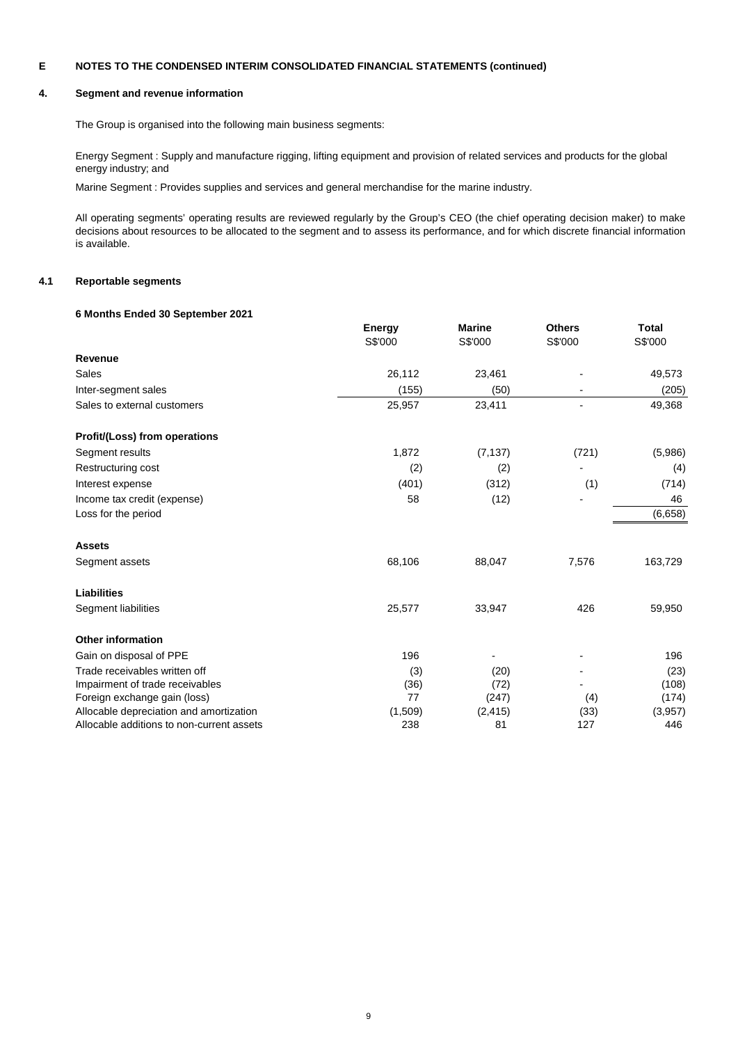## **4. Segment and revenue information**

The Group is organised into the following main business segments:

Energy Segment : Supply and manufacture rigging, lifting equipment and provision of related services and products for the global energy industry; and

Marine Segment : Provides supplies and services and general merchandise for the marine industry.

All operating segments' operating results are reviewed regularly by the Group's CEO (the chief operating decision maker) to make decisions about resources to be allocated to the segment and to assess its performance, and for which discrete financial information is available.

# **4.1 Reportable segments**

# **6 Months Ended 30 September 2021**

|                                           | <b>Energy</b> | <b>Marine</b> | <b>Others</b> | <b>Total</b> |
|-------------------------------------------|---------------|---------------|---------------|--------------|
|                                           | S\$'000       | S\$'000       | S\$'000       | S\$'000      |
| Revenue                                   |               |               |               |              |
| Sales                                     | 26,112        | 23,461        |               | 49,573       |
| Inter-segment sales                       | (155)         | (50)          |               | (205)        |
| Sales to external customers               | 25,957        | 23,411        |               | 49,368       |
| Profit/(Loss) from operations             |               |               |               |              |
| Segment results                           | 1,872         | (7, 137)      | (721)         | (5,986)      |
| Restructuring cost                        | (2)           | (2)           |               | (4)          |
| Interest expense                          | (401)         | (312)         | (1)           | (714)        |
| Income tax credit (expense)               | 58            | (12)          |               | 46           |
| Loss for the period                       |               |               |               | (6,658)      |
| <b>Assets</b>                             |               |               |               |              |
| Segment assets                            | 68,106        | 88,047        | 7,576         | 163,729      |
| Liabilities                               |               |               |               |              |
| Segment liabilities                       | 25,577        | 33,947        | 426           | 59,950       |
| <b>Other information</b>                  |               |               |               |              |
| Gain on disposal of PPE                   | 196           |               |               | 196          |
| Trade receivables written off             | (3)           | (20)          |               | (23)         |
| Impairment of trade receivables           | (36)          | (72)          |               | (108)        |
| Foreign exchange gain (loss)              | 77            | (247)         | (4)           | (174)        |
| Allocable depreciation and amortization   | (1,509)       | (2, 415)      | (33)          | (3,957)      |
| Allocable additions to non-current assets | 238           | 81            | 127           | 446          |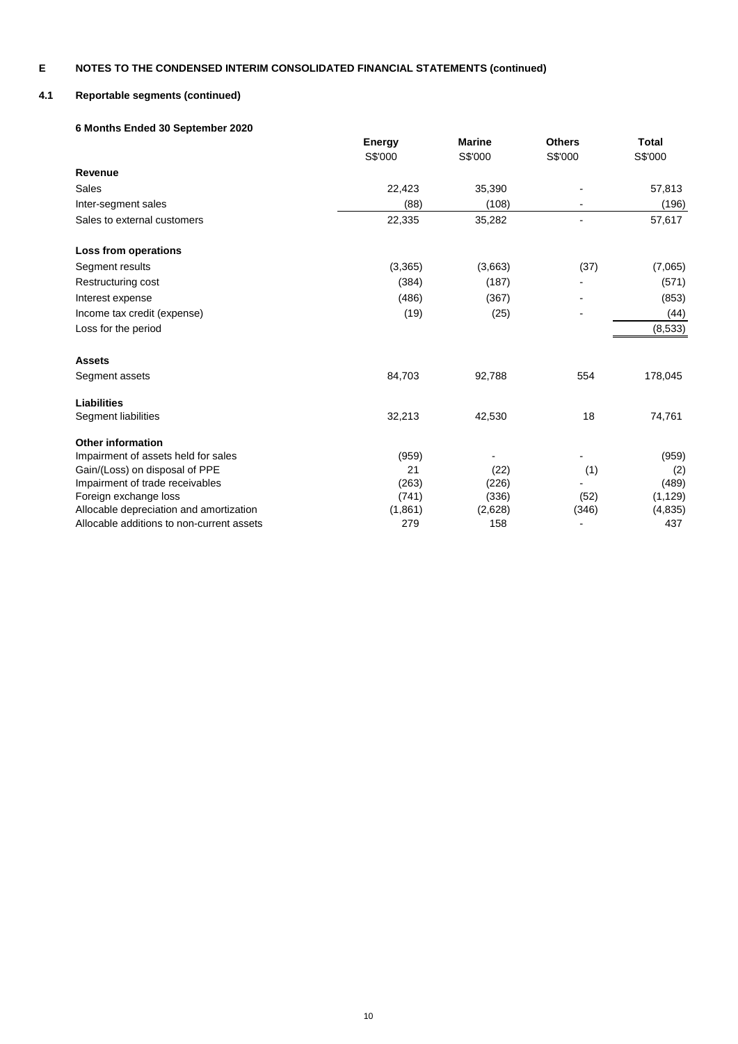# **4.1 Reportable segments (continued)**

# **6 Months Ended 30 September 2020**

|                                           | <b>Energy</b> | <b>Marine</b> | <b>Others</b> | Total    |
|-------------------------------------------|---------------|---------------|---------------|----------|
|                                           | S\$'000       | S\$'000       | S\$'000       | S\$'000  |
| Revenue                                   |               |               |               |          |
| Sales                                     | 22,423        | 35,390        |               | 57,813   |
| Inter-segment sales                       | (88)          | (108)         |               | (196)    |
| Sales to external customers               | 22,335        | 35,282        |               | 57,617   |
| Loss from operations                      |               |               |               |          |
| Segment results                           | (3,365)       | (3,663)       | (37)          | (7,065)  |
| Restructuring cost                        | (384)         | (187)         |               | (571)    |
| Interest expense                          | (486)         | (367)         |               | (853)    |
| Income tax credit (expense)               | (19)          | (25)          |               | (44)     |
| Loss for the period                       |               |               |               | (8,533)  |
| <b>Assets</b>                             |               |               |               |          |
| Segment assets                            | 84,703        | 92,788        | 554           | 178,045  |
| <b>Liabilities</b>                        |               |               |               |          |
| Segment liabilities                       | 32,213        | 42,530        | 18            | 74,761   |
| <b>Other information</b>                  |               |               |               |          |
| Impairment of assets held for sales       | (959)         |               |               | (959)    |
| Gain/(Loss) on disposal of PPE            | 21            | (22)          | (1)           | (2)      |
| Impairment of trade receivables           | (263)         | (226)         |               | (489)    |
| Foreign exchange loss                     | (741)         | (336)         | (52)          | (1, 129) |
| Allocable depreciation and amortization   | (1,861)       | (2,628)       | (346)         | (4, 835) |
| Allocable additions to non-current assets | 279           | 158           |               | 437      |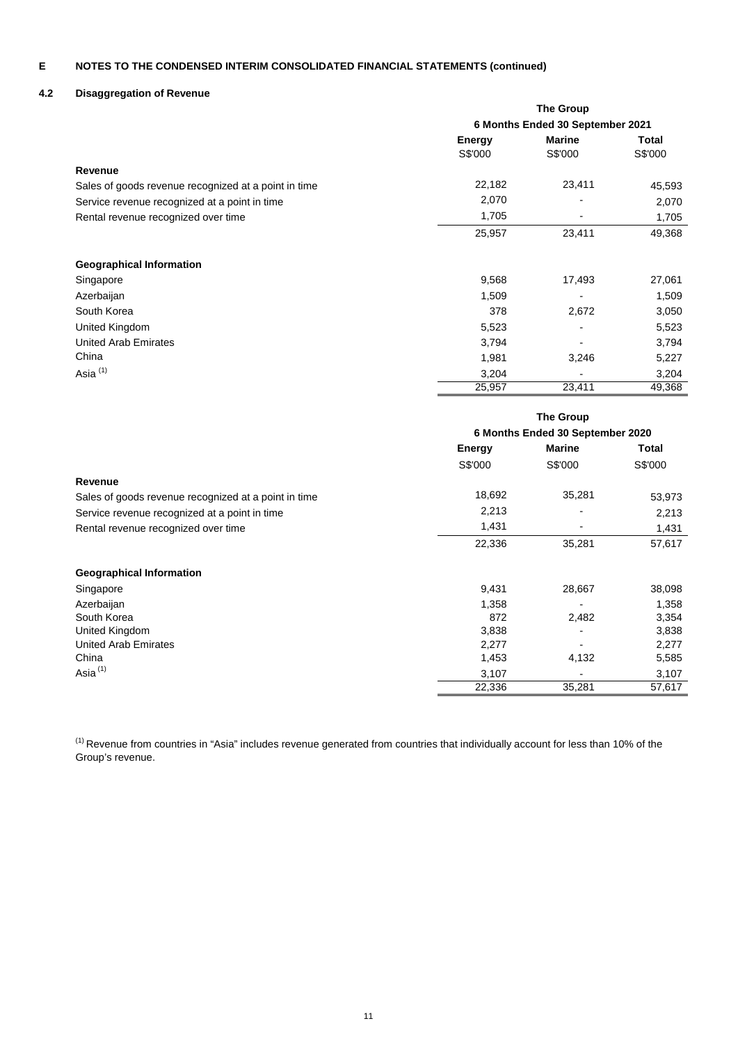# **4.2 Disaggregation of Revenue**

|                                                      | <b>The Group</b>                 |               |              |  |
|------------------------------------------------------|----------------------------------|---------------|--------------|--|
|                                                      | 6 Months Ended 30 September 2021 |               |              |  |
|                                                      | <b>Energy</b>                    | <b>Marine</b> | <b>Total</b> |  |
|                                                      | S\$'000                          | S\$'000       | S\$'000      |  |
| Revenue                                              |                                  |               |              |  |
| Sales of goods revenue recognized at a point in time | 22,182                           | 23,411        | 45,593       |  |
| Service revenue recognized at a point in time        | 2,070                            |               | 2,070        |  |
| Rental revenue recognized over time                  | 1,705                            |               | 1,705        |  |
|                                                      | 25,957                           | 23,411        | 49,368       |  |
| <b>Geographical Information</b>                      |                                  |               |              |  |
| Singapore                                            | 9,568                            | 17,493        | 27,061       |  |
| Azerbaijan                                           | 1,509                            |               | 1,509        |  |
| South Korea                                          | 378                              | 2,672         | 3,050        |  |
| United Kingdom                                       | 5,523                            |               | 5,523        |  |
| <b>United Arab Emirates</b>                          | 3,794                            |               | 3,794        |  |
| China                                                | 1,981                            | 3,246         | 5,227        |  |
| Asia <sup>(1)</sup>                                  | 3,204                            |               | 3,204        |  |
|                                                      | 25,957                           | 23,411        | 49,368       |  |

|                                                      | <b>The Group</b><br>6 Months Ended 30 September 2020 |               |         |
|------------------------------------------------------|------------------------------------------------------|---------------|---------|
|                                                      | <b>Energy</b>                                        | <b>Marine</b> | Total   |
|                                                      | S\$'000                                              | S\$'000       | S\$'000 |
| Revenue                                              |                                                      |               |         |
| Sales of goods revenue recognized at a point in time | 18,692                                               | 35,281        | 53,973  |
| Service revenue recognized at a point in time        | 2,213                                                |               | 2,213   |
| Rental revenue recognized over time                  | 1,431                                                |               | 1,431   |
|                                                      | 22,336                                               | 35,281        | 57,617  |
| <b>Geographical Information</b>                      |                                                      |               |         |
| Singapore                                            | 9,431                                                | 28,667        | 38,098  |
| Azerbaijan                                           | 1,358                                                |               | 1,358   |
| South Korea                                          | 872                                                  | 2,482         | 3,354   |
| United Kingdom                                       | 3,838                                                |               | 3,838   |
| United Arab Emirates                                 | 2,277                                                |               | 2,277   |
| China                                                | 1,453                                                | 4,132         | 5,585   |
| Asia $(1)$                                           | 3,107                                                |               | 3,107   |
|                                                      | 22,336                                               | 35,281        | 57,617  |

 $^{(1)}$  Revenue from countries in "Asia" includes revenue generated from countries that individually account for less than 10% of the Group's revenue.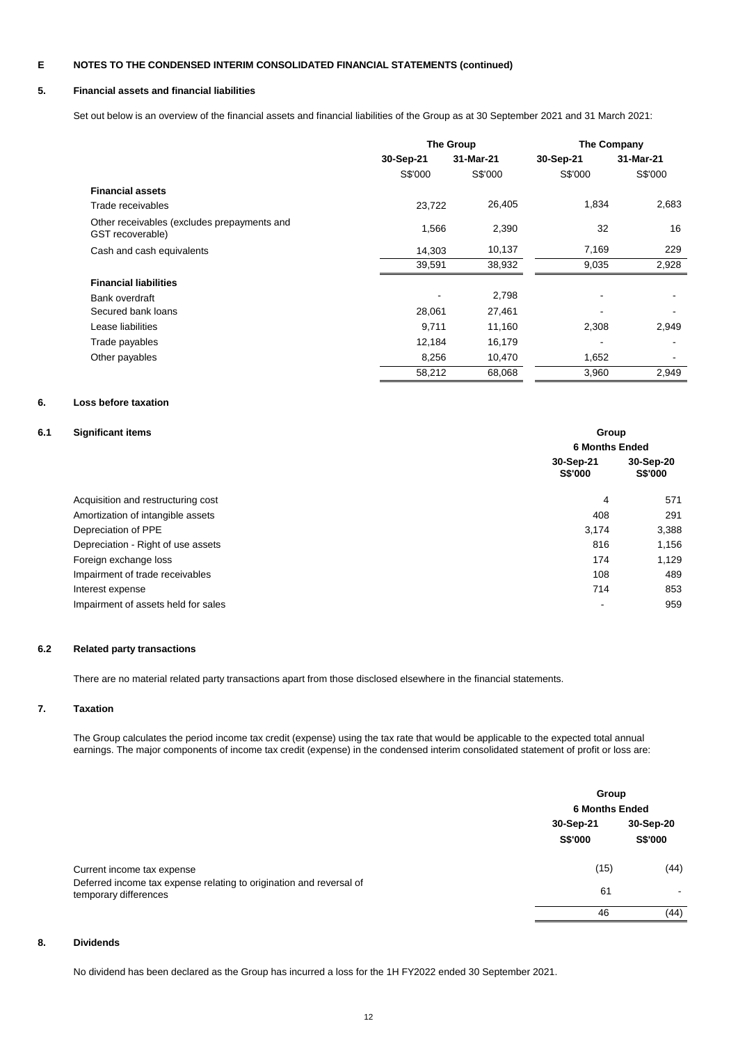# **5. Financial assets and financial liabilities**

Set out below is an overview of the financial assets and financial liabilities of the Group as at 30 September 2021 and 31 March 2021:

|                                                                 | The Group |           | The Company |           |
|-----------------------------------------------------------------|-----------|-----------|-------------|-----------|
|                                                                 | 30-Sep-21 | 31-Mar-21 | 30-Sep-21   | 31-Mar-21 |
|                                                                 | S\$'000   | S\$'000   | S\$'000     | S\$'000   |
| <b>Financial assets</b>                                         |           |           |             |           |
| Trade receivables                                               | 23,722    | 26,405    | 1,834       | 2,683     |
| Other receivables (excludes prepayments and<br>GST recoverable) | 1,566     | 2,390     | 32          | 16        |
| Cash and cash equivalents                                       | 14,303    | 10,137    | 7,169       | 229       |
|                                                                 | 39,591    | 38,932    | 9,035       | 2,928     |
| <b>Financial liabilities</b>                                    |           |           |             |           |
| Bank overdraft                                                  |           | 2,798     |             |           |
| Secured bank loans                                              | 28,061    | 27,461    |             |           |
| Lease liabilities                                               | 9,711     | 11,160    | 2,308       | 2,949     |
| Trade payables                                                  | 12,184    | 16,179    |             |           |
| Other payables                                                  | 8,256     | 10,470    | 1,652       |           |
|                                                                 | 58,212    | 68,068    | 3,960       | 2,949     |

# **6. Loss before taxation**

# **6.1 Significant if**

| <b>Significant items</b>            | Group                       |                             |  |  |  |
|-------------------------------------|-----------------------------|-----------------------------|--|--|--|
|                                     | <b>6 Months Ended</b>       |                             |  |  |  |
|                                     | 30-Sep-21<br><b>S\$'000</b> | 30-Sep-20<br><b>S\$'000</b> |  |  |  |
| Acquisition and restructuring cost  | 4                           | 571                         |  |  |  |
| Amortization of intangible assets   | 408                         | 291                         |  |  |  |
| Depreciation of PPE                 | 3.174                       | 3,388                       |  |  |  |
| Depreciation - Right of use assets  | 816                         | 1,156                       |  |  |  |
| Foreign exchange loss               | 174                         | 1,129                       |  |  |  |
| Impairment of trade receivables     | 108                         | 489                         |  |  |  |
| Interest expense                    | 714                         | 853                         |  |  |  |
| Impairment of assets held for sales | $\overline{\phantom{a}}$    | 959                         |  |  |  |

# **6.2 Related party transactions**

There are no material related party transactions apart from those disclosed elsewhere in the financial statements.

# **7. Taxation**

The Group calculates the period income tax credit (expense) using the tax rate that would be applicable to the expected total annual earnings. The major components of income tax credit (expense) in the condensed interim consolidated statement of profit or loss are:

|                                                                                              |                      | Group<br><b>6 Months Ended</b> |
|----------------------------------------------------------------------------------------------|----------------------|--------------------------------|
|                                                                                              | 30-Sep-21<br>S\$'000 | 30-Sep-20<br>S\$'000           |
| Current income tax expense                                                                   | (15)                 | (44)                           |
| Deferred income tax expense relating to origination and reversal of<br>temporary differences | 61                   | ٠                              |
|                                                                                              | 46                   | (44)                           |

# **8. Dividends**

No dividend has been declared as the Group has incurred a loss for the 1H FY2022 ended 30 September 2021.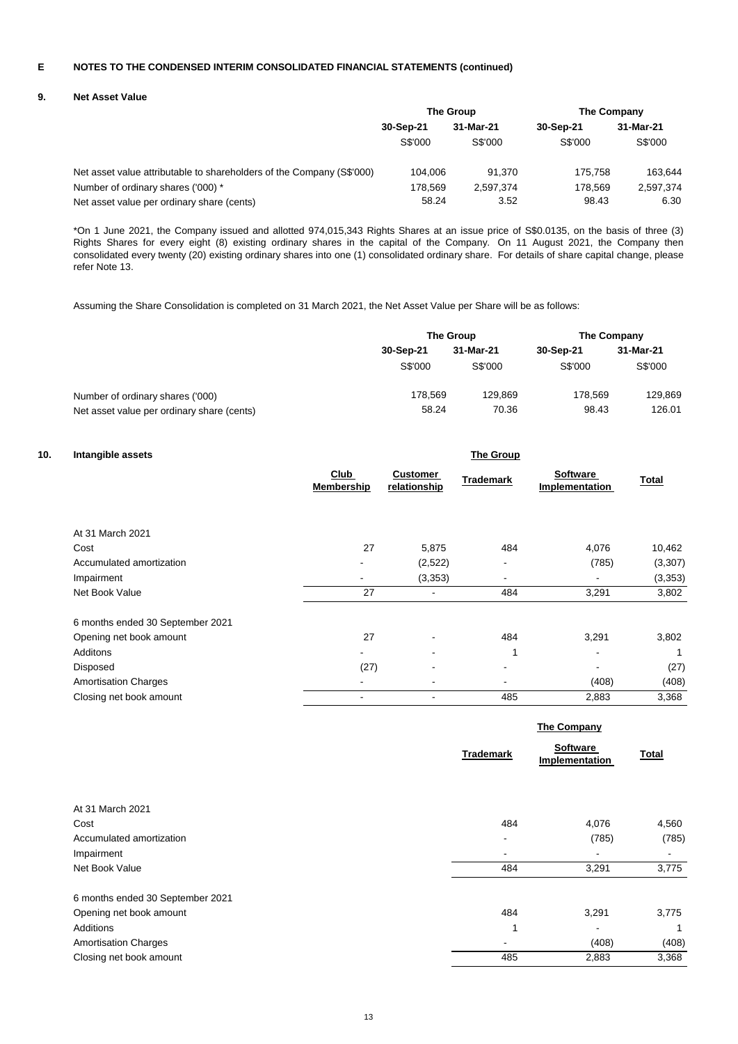## **9. Net Asset Value**

|                                                                       | The Group |           | The Company |           |
|-----------------------------------------------------------------------|-----------|-----------|-------------|-----------|
|                                                                       | 30-Sep-21 | 31-Mar-21 | 30-Sep-21   | 31-Mar-21 |
|                                                                       | S\$'000   | S\$'000   | S\$'000     | S\$'000   |
| Net asset value attributable to shareholders of the Company (S\$'000) | 104.006   | 91.370    | 175.758     | 163.644   |
| Number of ordinary shares ('000) *                                    | 178.569   | 2.597.374 | 178.569     | 2,597,374 |
| Net asset value per ordinary share (cents)                            | 58.24     | 3.52      | 98.43       | 6.30      |

\*On 1 June 2021, the Company issued and allotted 974,015,343 Rights Shares at an issue price of S\$0.0135, on the basis of three (3) Rights Shares for every eight (8) existing ordinary shares in the capital of the Company. On 11 August 2021, the Company then consolidated every twenty (20) existing ordinary shares into one (1) consolidated ordinary share. For details of share capital change, please refer Note 13.

Assuming the Share Consolidation is completed on 31 March 2021, the Net Asset Value per Share will be as follows:

|                                            | The Group |           | The Company |           |
|--------------------------------------------|-----------|-----------|-------------|-----------|
|                                            | 30-Sep-21 | 31-Mar-21 | 30-Sep-21   | 31-Mar-21 |
|                                            | S\$'000   | S\$'000   | S\$'000     | S\$'000   |
| Number of ordinary shares ('000)           | 178.569   | 129.869   | 178.569     | 129,869   |
| Net asset value per ordinary share (cents) | 58.24     | 70.36     | 98.43       | 126.01    |

# **10. Intangible assets**

| Intangible assets                |                           |                                 | <b>The Group</b>         |                                   |         |
|----------------------------------|---------------------------|---------------------------------|--------------------------|-----------------------------------|---------|
|                                  | Club<br><b>Membership</b> | <b>Customer</b><br>relationship | <b>Trademark</b>         | <b>Software</b><br>Implementation | Total   |
| At 31 March 2021                 |                           |                                 |                          |                                   |         |
| Cost                             | 27                        | 5,875                           | 484                      | 4,076                             | 10,462  |
| Accumulated amortization         |                           | (2,522)                         |                          | (785)                             | (3,307) |
| Impairment                       | ٠                         | (3,353)                         | $\overline{\phantom{a}}$ |                                   | (3,353) |
| Net Book Value                   | 27                        |                                 | 484                      | 3,291                             | 3,802   |
| 6 months ended 30 September 2021 |                           |                                 |                          |                                   |         |
| Opening net book amount          | 27                        |                                 | 484                      | 3,291                             | 3,802   |
| Additons                         |                           | ٠                               | 1                        | $\,$                              |         |
| Disposed                         | (27)                      |                                 | $\blacksquare$           |                                   | (27)    |
| <b>Amortisation Charges</b>      |                           |                                 |                          | (408)                             | (408)   |
| Closing net book amount          |                           |                                 | 485                      | 2,883                             | 3,368   |

|                                  |                  | The Company                |              |  |
|----------------------------------|------------------|----------------------------|--------------|--|
|                                  | <b>Trademark</b> | Software<br>Implementation | <b>Total</b> |  |
| At 31 March 2021                 |                  |                            |              |  |
| Cost                             | 484              | 4,076                      | 4,560        |  |
| Accumulated amortization         | ۰                | (785)                      | (785)        |  |
| Impairment                       |                  |                            |              |  |
| Net Book Value                   | 484              | 3,291                      | 3,775        |  |
| 6 months ended 30 September 2021 |                  |                            |              |  |
| Opening net book amount          | 484              | 3,291                      | 3,775        |  |
| Additions                        |                  |                            | 1            |  |
| <b>Amortisation Charges</b>      |                  | (408)                      | (408)        |  |
| Closing net book amount          | 485              | 2,883                      | 3,368        |  |
|                                  |                  |                            |              |  |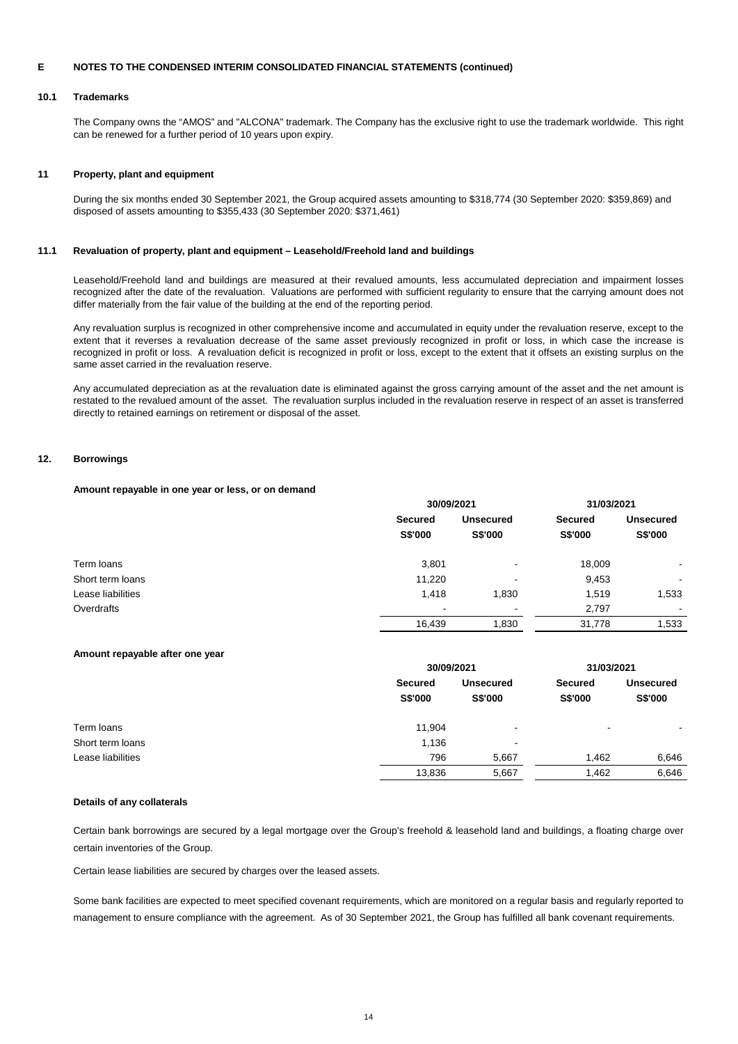### **10.1 Trademarks**

The Company owns the "AMOS" and "ALCONA" trademark. The Company has the exclusive right to use the trademark worldwide. This right can be renewed for a further period of 10 years upon expiry.

### **11 Property, plant and equipment**

During the six months ended 30 September 2021, the Group acquired assets amounting to \$318,774 (30 September 2020: \$359,869) and disposed of assets amounting to \$355,433 (30 September 2020: \$371,461)

## **11.1 Revaluation of property, plant and equipment – Leasehold/Freehold land and buildings**

Leasehold/Freehold land and buildings are measured at their revalued amounts, less accumulated depreciation and impairment losses recognized after the date of the revaluation. Valuations are performed with sufficient regularity to ensure that the carrying amount does not differ materially from the fair value of the building at the end of the reporting period.

Any revaluation surplus is recognized in other comprehensive income and accumulated in equity under the revaluation reserve, except to the extent that it reverses a revaluation decrease of the same asset previously recognized in profit or loss, in which case the increase is recognized in profit or loss. A revaluation deficit is recognized in profit or loss, except to the extent that it offsets an existing surplus on the same asset carried in the revaluation reserve.

Any accumulated depreciation as at the revaluation date is eliminated against the gross carrying amount of the asset and the net amount is restated to the revalued amount of the asset. The revaluation surplus included in the revaluation reserve in respect of an asset is transferred directly to retained earnings on retirement or disposal of the asset.

### **12. Borrowings**

### **Amount repayable in one year or less, or on demand**

|                   |                           | 30/09/2021                  |                           | 31/03/2021                  |  |
|-------------------|---------------------------|-----------------------------|---------------------------|-----------------------------|--|
|                   | <b>Secured</b><br>S\$'000 | <b>Unsecured</b><br>S\$'000 | <b>Secured</b><br>S\$'000 | <b>Unsecured</b><br>S\$'000 |  |
| Term loans        | 3,801                     | $\overline{\phantom{a}}$    | 18,009                    | ۰                           |  |
| Short term loans  | 11,220                    | $\overline{\phantom{a}}$    | 9,453                     | $\overline{\phantom{a}}$    |  |
| Lease liabilities | 1,418                     | 1,830                       | 1,519                     | 1,533                       |  |
| Overdrafts        | $\overline{\phantom{a}}$  | $\overline{\phantom{a}}$    | 2,797                     | $\sim$                      |  |
|                   | 16,439                    | 1,830                       | 31,778                    | 1,533                       |  |

### **Amount repayable after one year**

|                   |                    | 30/09/2021                  |                           | 31/03/2021                         |  |
|-------------------|--------------------|-----------------------------|---------------------------|------------------------------------|--|
|                   | Secured<br>S\$'000 | <b>Unsecured</b><br>S\$'000 | Secured<br><b>S\$'000</b> | <b>Unsecured</b><br><b>S\$'000</b> |  |
| Term loans        | 11,904             | $\overline{\phantom{0}}$    | $\overline{\phantom{a}}$  |                                    |  |
| Short term loans  | 1,136              | $\blacksquare$              |                           |                                    |  |
| Lease liabilities | 796                | 5,667                       | 1.462                     | 6,646                              |  |
|                   | 13,836             | 5,667                       | 1,462                     | 6,646                              |  |

### **Details of any collaterals**

Certain bank borrowings are secured by a legal mortgage over the Group's freehold & leasehold land and buildings, a floating charge over certain inventories of the Group.

Certain lease liabilities are secured by charges over the leased assets.

Some bank facilities are expected to meet specified covenant requirements, which are monitored on a regular basis and regularly reported to management to ensure compliance with the agreement. As of 30 September 2021, the Group has fulfilled all bank covenant requirements.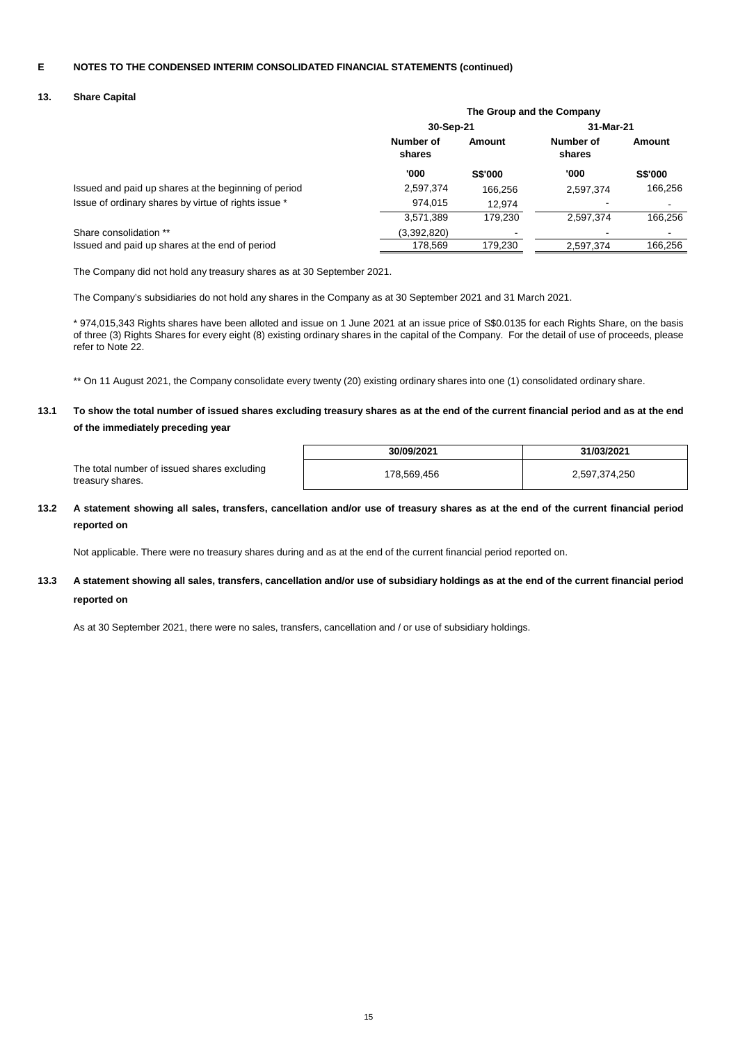# **13. Share Capital**

|                                                      | The Group and the Company |                |           |                |
|------------------------------------------------------|---------------------------|----------------|-----------|----------------|
|                                                      | 30-Sep-21                 |                | 31-Mar-21 |                |
|                                                      | Number of<br>shares       | Amount         |           | Amount         |
|                                                      | '000                      | <b>S\$'000</b> | '000      | <b>S\$'000</b> |
| Issued and paid up shares at the beginning of period | 2,597,374                 | 166.256        | 2,597,374 | 166,256        |
| Issue of ordinary shares by virtue of rights issue * | 974.015                   | 12.974         |           |                |
|                                                      | 3,571,389                 | 179.230        | 2.597.374 | 166,256        |
| Share consolidation **                               | (3,392,820)               |                |           |                |
| Issued and paid up shares at the end of period       | 178,569                   | 179,230        | 2,597,374 | 166,256        |
|                                                      |                           |                |           |                |

The Company did not hold any treasury shares as at 30 September 2021.

The Company's subsidiaries do not hold any shares in the Company as at 30 September 2021 and 31 March 2021.

\* 974,015,343 Rights shares have been alloted and issue on 1 June 2021 at an issue price of S\$0.0135 for each Rights Share, on the basis of three (3) Rights Shares for every eight (8) existing ordinary shares in the capital of the Company. For the detail of use of proceeds, please refer to Note 22.

\*\* On 11 August 2021, the Company consolidate every twenty (20) existing ordinary shares into one (1) consolidated ordinary share.

### **13.1 To show the total number of issued shares excluding treasury shares as at the end of the current financial period and as at the end of the immediately preceding year**

|                                                                 | 30/09/2021  | 31/03/2021    |
|-----------------------------------------------------------------|-------------|---------------|
| The total number of issued shares excluding<br>treasury shares. | 178,569,456 | 2,597,374,250 |

### **13.2 A statement showing all sales, transfers, cancellation and/or use of treasury shares as at the end of the current financial period reported on**

Not applicable. There were no treasury shares during and as at the end of the current financial period reported on.

### **13.3 A statement showing all sales, transfers, cancellation and/or use of subsidiary holdings as at the end of the current financial period reported on**

As at 30 September 2021, there were no sales, transfers, cancellation and / or use of subsidiary holdings.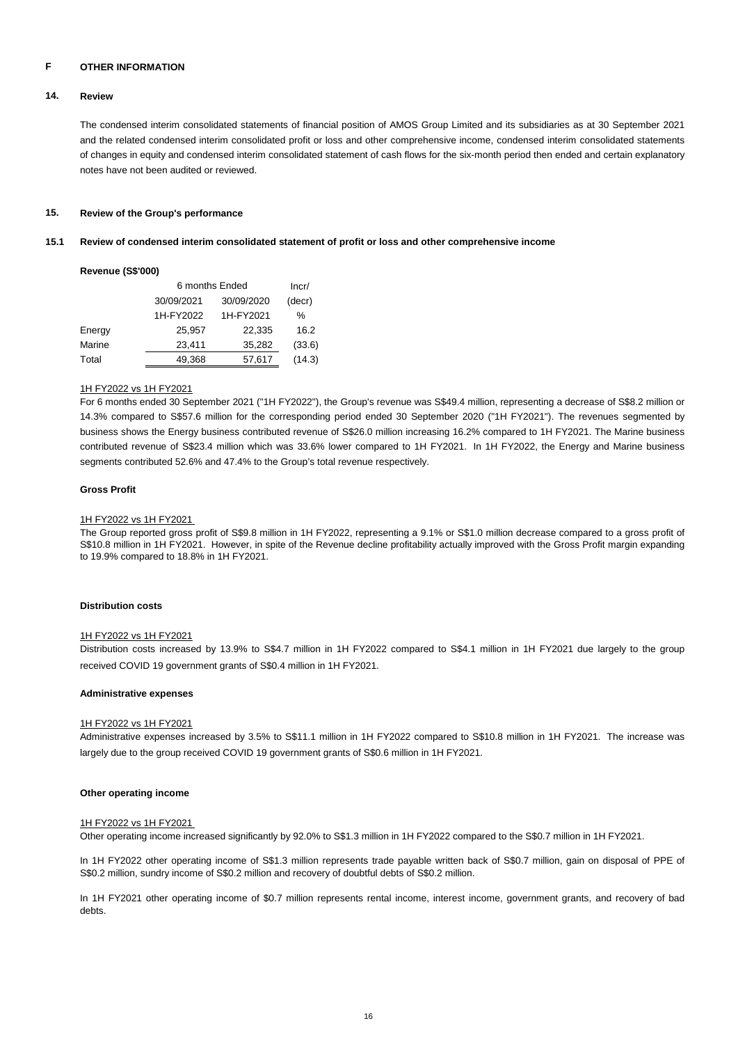#### **F OTHER INFORMATION**

#### **14. Review**

The condensed interim consolidated statements of financial position of AMOS Group Limited and its subsidiaries as at 30 September 2021 and the related condensed interim consolidated profit or loss and other comprehensive income, condensed interim consolidated statements of changes in equity and condensed interim consolidated statement of cash flows for the six-month period then ended and certain explanatory notes have not been audited or reviewed.

#### **15. Review of the Group's performance**

#### **15.1 Review of condensed interim consolidated statement of profit or loss and other comprehensive income**

### **Revenue (S\$'000)**

|        | 6 months Ended | Incr/      |        |
|--------|----------------|------------|--------|
|        | 30/09/2021     | 30/09/2020 | (decr) |
|        | 1H-FY2022      | 1H-FY2021  | ℅      |
| Energy | 25,957         | 22,335     | 16.2   |
| Marine | 23.411         | 35,282     | (33.6) |
| Total  | 49,368         | 57,617     | (14.3) |

### 1H FY2022 vs 1H FY2021

For 6 months ended 30 September 2021 ("1H FY2022"), the Group's revenue was S\$49.4 million, representing a decrease of S\$8.2 million or 14.3% compared to S\$57.6 million for the corresponding period ended 30 September 2020 ("1H FY2021"). The revenues segmented by business shows the Energy business contributed revenue of S\$26.0 million increasing 16.2% compared to 1H FY2021. The Marine business contributed revenue of S\$23.4 million which was 33.6% lower compared to 1H FY2021. In 1H FY2022, the Energy and Marine business segments contributed 52.6% and 47.4% to the Group's total revenue respectively.

### **Gross Profit**

### 1H FY2022 vs 1H FY2021

The Group reported gross profit of S\$9.8 million in 1H FY2022, representing a 9.1% or S\$1.0 million decrease compared to a gross profit of S\$10.8 million in 1H FY2021. However, in spite of the Revenue decline profitability actually improved with the Gross Profit margin expanding to 19.9% compared to 18.8% in 1H FY2021.

## **Distribution costs**

### 1H FY2022 vs 1H FY2021

Distribution costs increased by 13.9% to S\$4.7 million in 1H FY2022 compared to S\$4.1 million in 1H FY2021 due largely to the group received COVID 19 government grants of S\$0.4 million in 1H FY2021.

### **Administrative expenses**

### 1H FY2022 vs 1H FY2021

Administrative expenses increased by 3.5% to S\$11.1 million in 1H FY2022 compared to S\$10.8 million in 1H FY2021. The increase was largely due to the group received COVID 19 government grants of S\$0.6 million in 1H FY2021.

### **Other operating income**

### 1H FY2022 vs 1H FY2021

Other operating income increased significantly by 92.0% to S\$1.3 million in 1H FY2022 compared to the S\$0.7 million in 1H FY2021.

In 1H FY2022 other operating income of S\$1.3 million represents trade payable written back of S\$0.7 million, gain on disposal of PPE of S\$0.2 million, sundry income of S\$0.2 million and recovery of doubtful debts of S\$0.2 million.

In 1H FY2021 other operating income of \$0.7 million represents rental income, interest income, government grants, and recovery of bad debts.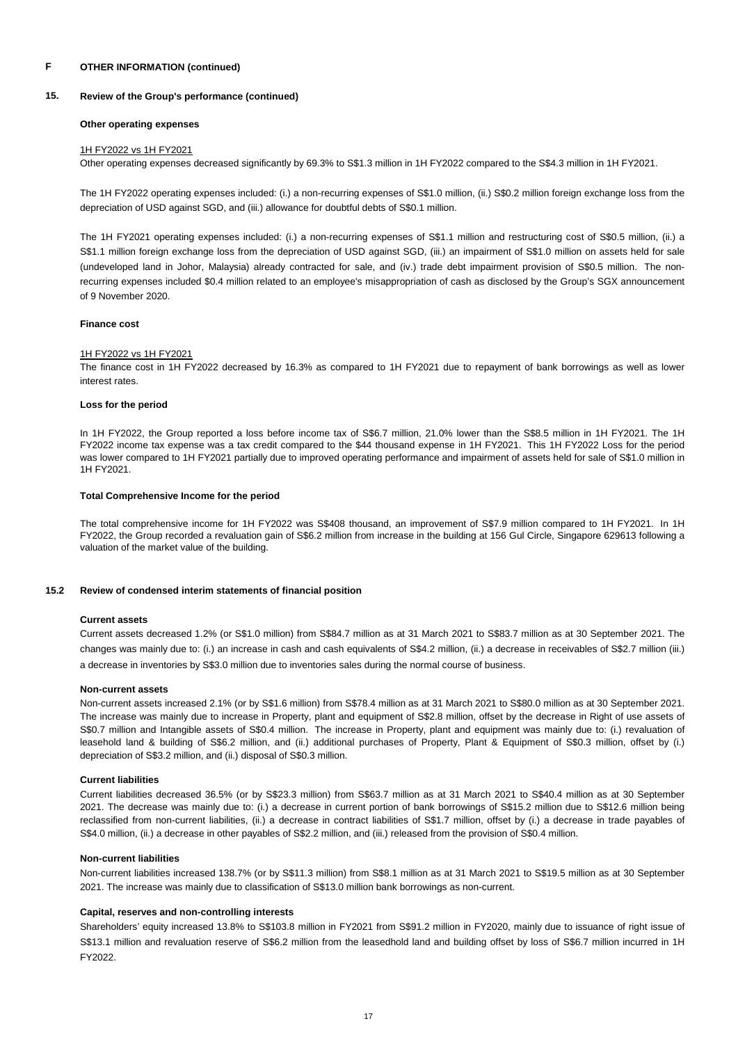#### **15. Review of the Group's performance (continued)**

### **Other operating expenses**

### 1H FY2022 vs 1H FY2021

Other operating expenses decreased significantly by 69.3% to S\$1.3 million in 1H FY2022 compared to the S\$4.3 million in 1H FY2021.

The 1H FY2022 operating expenses included: (i.) a non-recurring expenses of S\$1.0 million, (ii.) S\$0.2 million foreign exchange loss from the depreciation of USD against SGD, and (iii.) allowance for doubtful debts of S\$0.1 million.

The 1H FY2021 operating expenses included: (i.) a non-recurring expenses of S\$1.1 million and restructuring cost of S\$0.5 million, (ii.) a S\$1.1 million foreign exchange loss from the depreciation of USD against SGD, (iii.) an impairment of S\$1.0 million on assets held for sale (undeveloped land in Johor, Malaysia) already contracted for sale, and (iv.) trade debt impairment provision of S\$0.5 million. The nonrecurring expenses included \$0.4 million related to an employee's misappropriation of cash as disclosed by the Group's SGX announcement of 9 November 2020.

## **Finance cost**

### 1H FY2022 vs 1H FY2021

The finance cost in 1H FY2022 decreased by 16.3% as compared to 1H FY2021 due to repayment of bank borrowings as well as lower interest rates.

### **Loss for the period**

In 1H FY2022, the Group reported a loss before income tax of S\$6.7 million, 21.0% lower than the S\$8.5 million in 1H FY2021. The 1H FY2022 income tax expense was a tax credit compared to the \$44 thousand expense in 1H FY2021. This 1H FY2022 Loss for the period was lower compared to 1H FY2021 partially due to improved operating performance and impairment of assets held for sale of S\$1.0 million in 1H FY2021.

### **Total Comprehensive Income for the period**

The total comprehensive income for 1H FY2022 was S\$408 thousand, an improvement of S\$7.9 million compared to 1H FY2021. In 1H FY2022, the Group recorded a revaluation gain of S\$6.2 million from increase in the building at 156 Gul Circle, Singapore 629613 following a valuation of the market value of the building.

#### **15.2 Review of condensed interim statements of financial position**

### **Current assets**

Current assets decreased 1.2% (or S\$1.0 million) from S\$84.7 million as at 31 March 2021 to S\$83.7 million as at 30 September 2021. The changes was mainly due to: (i.) an increase in cash and cash equivalents of S\$4.2 million, (ii.) a decrease in receivables of S\$2.7 million (iii.) a decrease in inventories by S\$3.0 million due to inventories sales during the normal course of business.

### **Non-current assets**

Non-current assets increased 2.1% (or by S\$1.6 million) from S\$78.4 million as at 31 March 2021 to S\$80.0 million as at 30 September 2021. The increase was mainly due to increase in Property, plant and equipment of S\$2.8 million, offset by the decrease in Right of use assets of S\$0.7 million and Intangible assets of S\$0.4 million. The increase in Property, plant and equipment was mainly due to: (i.) revaluation of leasehold land & building of S\$6.2 million, and (ii.) additional purchases of Property, Plant & Equipment of S\$0.3 million, offset by (i.) depreciation of S\$3.2 million, and (ii.) disposal of S\$0.3 million.

## **Current liabilities**

Current liabilities decreased 36.5% (or by S\$23.3 million) from S\$63.7 million as at 31 March 2021 to S\$40.4 million as at 30 September 2021. The decrease was mainly due to: (i.) a decrease in current portion of bank borrowings of S\$15.2 million due to S\$12.6 million being reclassified from non-current liabilities, (ii.) a decrease in contract liabilities of S\$1.7 million, offset by (i.) a decrease in trade payables of S\$4.0 million, (ii.) a decrease in other payables of S\$2.2 million, and (iii.) released from the provision of S\$0.4 million.

### **Non-current liabilities**

Non-current liabilities increased 138.7% (or by S\$11.3 million) from S\$8.1 million as at 31 March 2021 to S\$19.5 million as at 30 September 2021. The increase was mainly due to classification of S\$13.0 million bank borrowings as non-current.

### **Capital, reserves and non-controlling interests**

Shareholders' equity increased 13.8% to S\$103.8 million in FY2021 from S\$91.2 million in FY2020, mainly due to issuance of right issue of S\$13.1 million and revaluation reserve of S\$6.2 million from the leasedhold land and building offset by loss of S\$6.7 million incurred in 1H FY2022.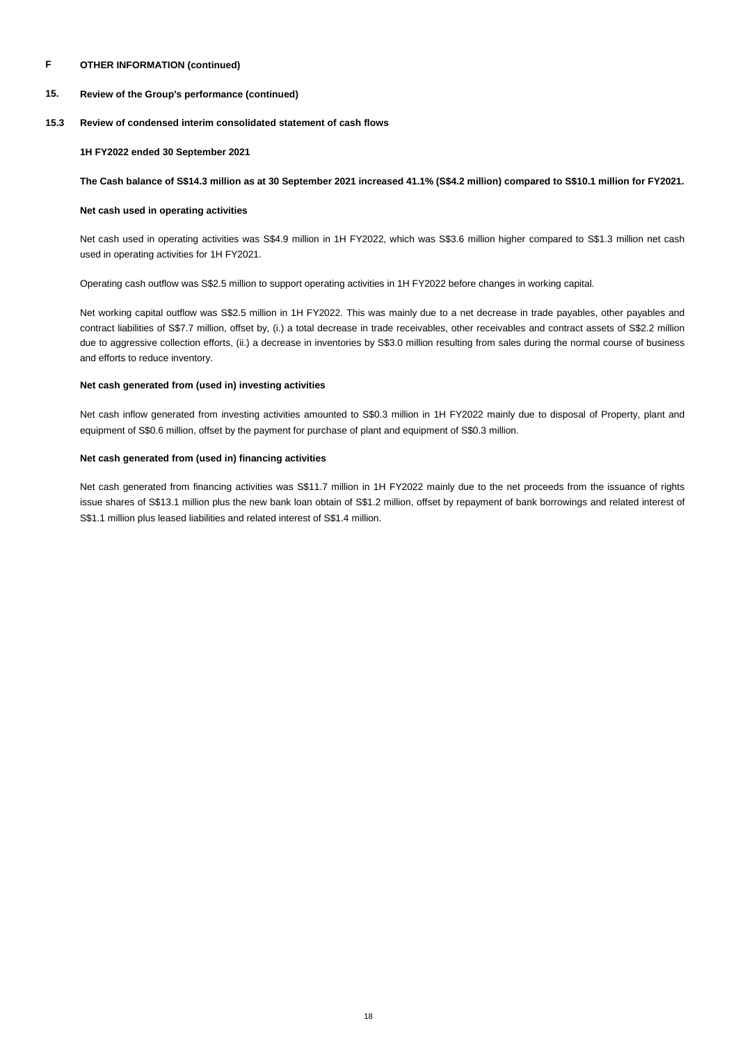#### **15. Review of the Group's performance (continued)**

#### **15.3 Review of condensed interim consolidated statement of cash flows**

### **1H FY2022 ended 30 September 2021**

### **The Cash balance of S\$14.3 million as at 30 September 2021 increased 41.1% (S\$4.2 million) compared to S\$10.1 million for FY2021.**

# **Net cash used in operating activities**

Net cash used in operating activities was S\$4.9 million in 1H FY2022, which was S\$3.6 million higher compared to S\$1.3 million net cash used in operating activities for 1H FY2021.

Operating cash outflow was S\$2.5 million to support operating activities in 1H FY2022 before changes in working capital.

Net working capital outflow was S\$2.5 million in 1H FY2022. This was mainly due to a net decrease in trade payables, other payables and contract liabilities of S\$7.7 million, offset by, (i.) a total decrease in trade receivables, other receivables and contract assets of S\$2.2 million due to aggressive collection efforts, (ii.) a decrease in inventories by S\$3.0 million resulting from sales during the normal course of business and efforts to reduce inventory.

# **Net cash generated from (used in) investing activities**

Net cash inflow generated from investing activities amounted to S\$0.3 million in 1H FY2022 mainly due to disposal of Property, plant and equipment of S\$0.6 million, offset by the payment for purchase of plant and equipment of S\$0.3 million.

## **Net cash generated from (used in) financing activities**

Net cash generated from financing activities was S\$11.7 million in 1H FY2022 mainly due to the net proceeds from the issuance of rights issue shares of S\$13.1 million plus the new bank loan obtain of S\$1.2 million, offset by repayment of bank borrowings and related interest of S\$1.1 million plus leased liabilities and related interest of S\$1.4 million.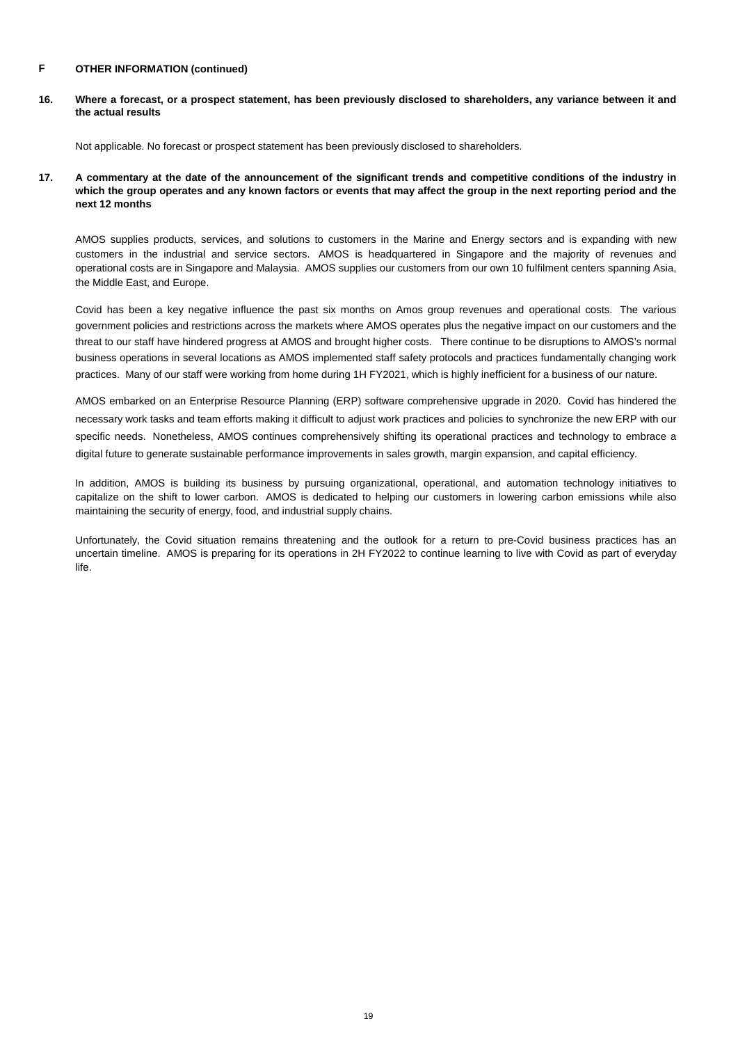**16. Where a forecast, or a prospect statement, has been previously disclosed to shareholders, any variance between it and the actual results**

Not applicable. No forecast or prospect statement has been previously disclosed to shareholders.

**17. A commentary at the date of the announcement of the significant trends and competitive conditions of the industry in which the group operates and any known factors or events that may affect the group in the next reporting period and the next 12 months**

AMOS supplies products, services, and solutions to customers in the Marine and Energy sectors and is expanding with new customers in the industrial and service sectors. AMOS is headquartered in Singapore and the majority of revenues and operational costs are in Singapore and Malaysia. AMOS supplies our customers from our own 10 fulfilment centers spanning Asia, the Middle East, and Europe.

Covid has been a key negative influence the past six months on Amos group revenues and operational costs. The various government policies and restrictions across the markets where AMOS operates plus the negative impact on our customers and the threat to our staff have hindered progress at AMOS and brought higher costs. There continue to be disruptions to AMOS's normal business operations in several locations as AMOS implemented staff safety protocols and practices fundamentally changing work practices. Many of our staff were working from home during 1H FY2021, which is highly inefficient for a business of our nature.

AMOS embarked on an Enterprise Resource Planning (ERP) software comprehensive upgrade in 2020. Covid has hindered the necessary work tasks and team efforts making it difficult to adjust work practices and policies to synchronize the new ERP with our specific needs. Nonetheless, AMOS continues comprehensively shifting its operational practices and technology to embrace a digital future to generate sustainable performance improvements in sales growth, margin expansion, and capital efficiency.

In addition, AMOS is building its business by pursuing organizational, operational, and automation technology initiatives to capitalize on the shift to lower carbon. AMOS is dedicated to helping our customers in lowering carbon emissions while also maintaining the security of energy, food, and industrial supply chains.

Unfortunately, the Covid situation remains threatening and the outlook for a return to pre-Covid business practices has an uncertain timeline. AMOS is preparing for its operations in 2H FY2022 to continue learning to live with Covid as part of everyday life.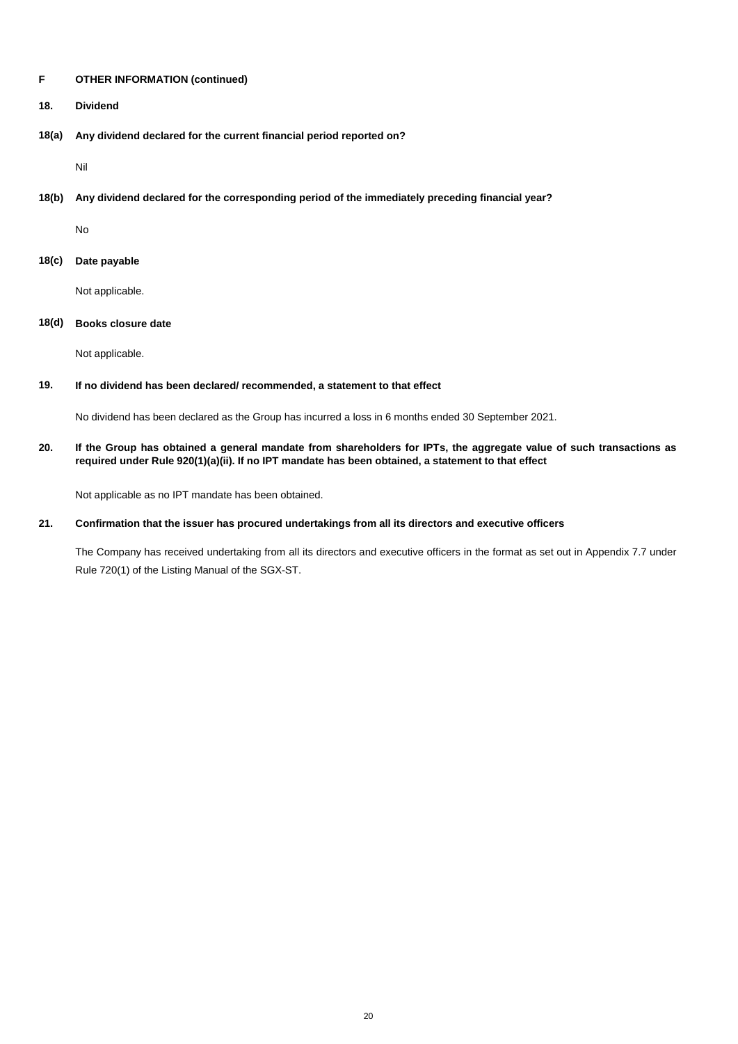- **18. Dividend**
- **18(a) Any dividend declared for the current financial period reported on?**

Nil

**18(b) Any dividend declared for the corresponding period of the immediately preceding financial year?**

No

**18(c) Date payable**

Not applicable.

# **18(d) Books closure date**

Not applicable.

#### **19. If no dividend has been declared/ recommended, a statement to that effect**

No dividend has been declared as the Group has incurred a loss in 6 months ended 30 September 2021.

**20. If the Group has obtained a general mandate from shareholders for IPTs, the aggregate value of such transactions as required under Rule 920(1)(a)(ii). If no IPT mandate has been obtained, a statement to that effect**

Not applicable as no IPT mandate has been obtained.

#### **21. Confirmation that the issuer has procured undertakings from all its directors and executive officers**

The Company has received undertaking from all its directors and executive officers in the format as set out in Appendix 7.7 under Rule 720(1) of the Listing Manual of the SGX-ST.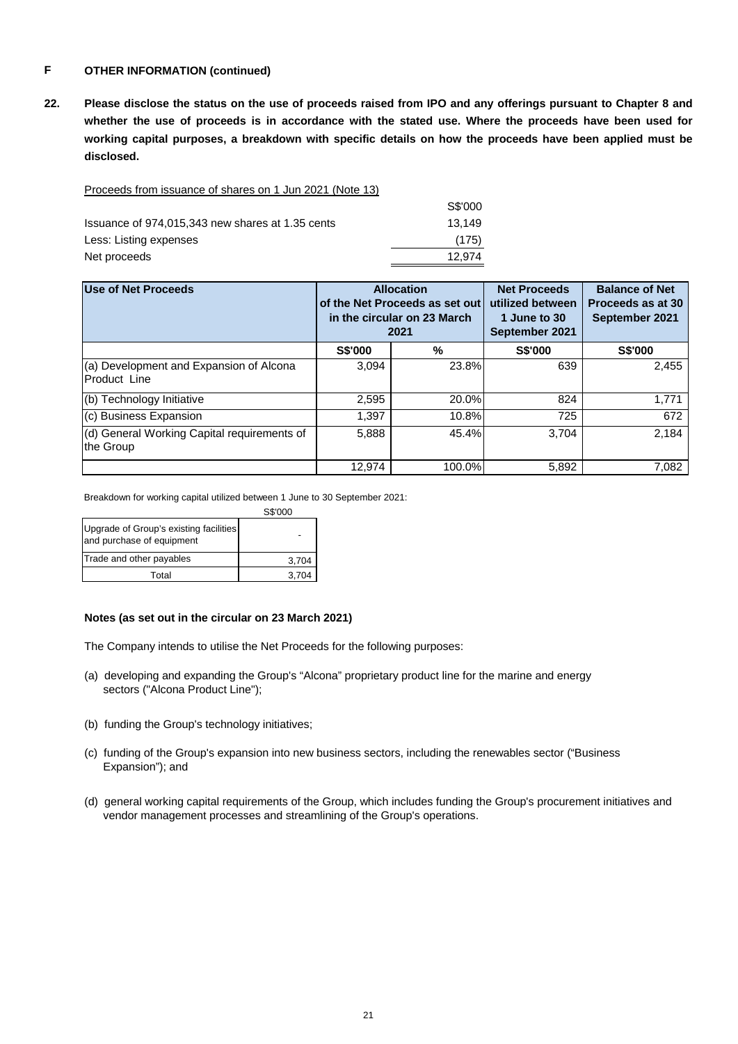**22. Please disclose the status on the use of proceeds raised from IPO and any offerings pursuant to Chapter 8 and whether the use of proceeds is in accordance with the stated use. Where the proceeds have been used for working capital purposes, a breakdown with specific details on how the proceeds have been applied must be disclosed.**

Proceeds from issuance of shares on 1 Jun 2021 (Note 13)

|                                                  | S\$'000 |
|--------------------------------------------------|---------|
| Issuance of 974,015,343 new shares at 1.35 cents | 13.149  |
| Less: Listing expenses                           | (175)   |
| Net proceeds                                     | 12.974  |

| Use of Net Proceeds                                      | <b>Allocation</b><br>of the Net Proceeds as set out<br>in the circular on 23 March<br>2021 |        | <b>Net Proceeds</b><br>utilized between<br>1 June to 30<br>September 2021 | <b>Balance of Net</b><br>Proceeds as at 30<br>September 2021 |
|----------------------------------------------------------|--------------------------------------------------------------------------------------------|--------|---------------------------------------------------------------------------|--------------------------------------------------------------|
|                                                          | S\$'000                                                                                    | %      | <b>S\$'000</b>                                                            | <b>S\$'000</b>                                               |
| (a) Development and Expansion of Alcona<br>Product Line  | 3.094                                                                                      | 23.8%  | 639                                                                       | 2,455                                                        |
| (b) Technology Initiative                                | 2,595                                                                                      | 20.0%  | 824                                                                       | 1,771                                                        |
| (c) Business Expansion                                   | 1.397                                                                                      | 10.8%  | 725                                                                       | 672                                                          |
| (d) General Working Capital requirements of<br>the Group | 5,888                                                                                      | 45.4%  | 3.704                                                                     | 2.184                                                        |
|                                                          | 12.974                                                                                     | 100.0% | 5,892                                                                     | 7,082                                                        |

Breakdown for working capital utilized between 1 June to 30 September 2021:

|                                                                     | S\$'000 |
|---------------------------------------------------------------------|---------|
| Upgrade of Group's existing facilities<br>and purchase of equipment |         |
| Trade and other payables                                            | 3.704   |
| Total                                                               | 3.704   |

# **Notes (as set out in the circular on 23 March 2021)**

The Company intends to utilise the Net Proceeds for the following purposes:

- (a) developing and expanding the Group's "Alcona" proprietary product line for the marine and energy sectors ("Alcona Product Line");
- (b) funding the Group's technology initiatives;
- (c) funding of the Group's expansion into new business sectors, including the renewables sector ("Business Expansion"); and
- (d) general working capital requirements of the Group, which includes funding the Group's procurement initiatives and vendor management processes and streamlining of the Group's operations.